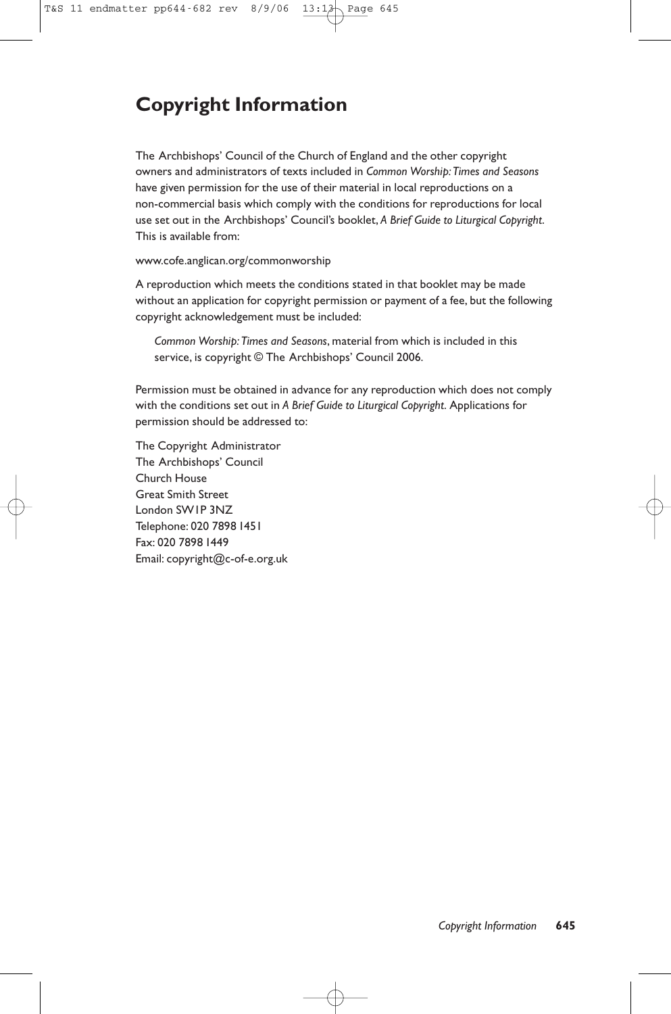# **Copyright Information**

The Archbishops' Council of the Church of England and the other copyright owners and administrators of texts included in *Common Worship:Times and Seasons* have given permission for the use of their material in local reproductions on a non-commercial basis which comply with the conditions for reproductions for local use set out in the Archbishops' Council's booklet, *A Brief Guide to Liturgical Copyright*. This is available from:

www.cofe.anglican.org/commonworship

A reproduction which meets the conditions stated in that booklet may be made without an application for copyright permission or payment of a fee, but the following copyright acknowledgement must be included:

*Common Worship:Times and Seasons*, material from which is included in this service, is copyright © The Archbishops' Council 2006.

Permission must be obtained in advance for any reproduction which does not comply with the conditions set out in *A Brief Guide to Liturgical Copyright*. Applications for permission should be addressed to:

The Copyright Administrator The Archbishops' Council Church House Great Smith Street London SW1P 3NZ Telephone: 020 7898 1451 Fax: 020 7898 1449 Email: copyright@c-of-e.org.uk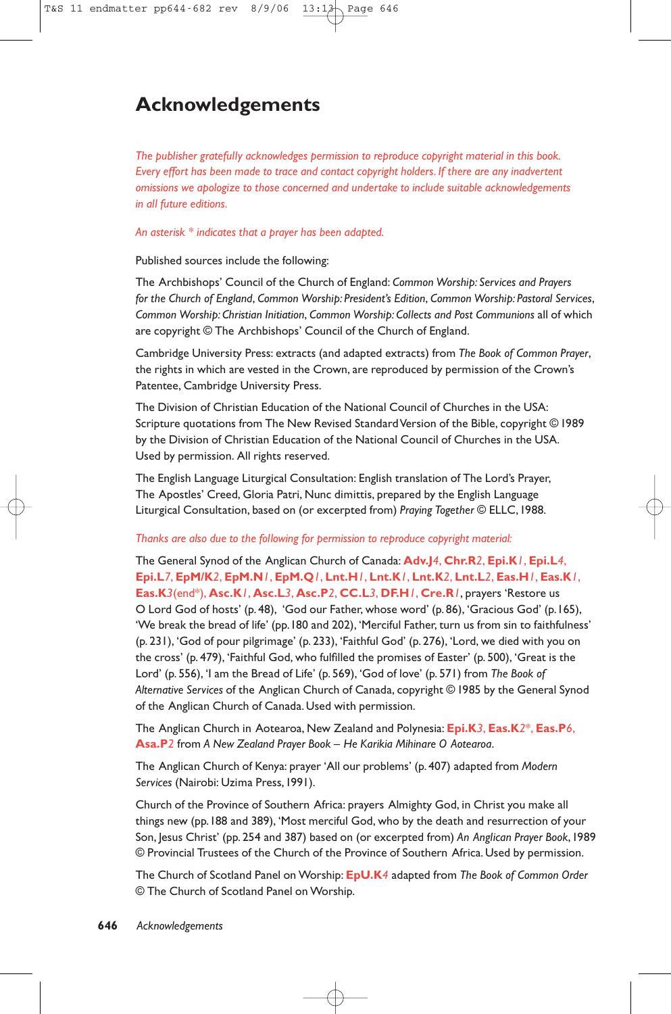## **Acknowledgements**

*The publisher gratefully acknowledges permission to reproduce copyright material in this book. Every effort has been made to trace and contact copyright holders. If there are any inadvertent omissions we apologize to those concerned and undertake to include suitable acknowledgements in all future editions.*

### *An asterisk \* indicates that a prayer has been adapted.*

Published sources include the following:

The Archbishops' Council of the Church of England: *Common Worship: Services and Prayers for the Church of England*, *Common Worship: President's Edition*, *Common Worship: Pastoral Services*, *Common Worship: Christian Initiation*, *Common Worship: Collects and Post Communions* all of which are copyright © The Archbishops' Council of the Church of England.

Cambridge University Press: extracts (and adapted extracts) from *The Book of Common Prayer*, the rights in which are vested in the Crown, are reproduced by permission of the Crown's Patentee, Cambridge University Press.

The Division of Christian Education of the National Council of Churches in the USA: Scripture quotations from The New Revised Standard Version of the Bible, copyright © 1989 by the Division of Christian Education of the National Council of Churches in the USA. Used by permission. All rights reserved.

The English Language Liturgical Consultation: English translation of The Lord's Prayer, The Apostles' Creed, Gloria Patri, Nunc dimittis, prepared by the English Language Liturgical Consultation, based on (or excerpted from) *Praying Together* © ELLC,1988.

#### *Thanks are also due to the following for permission to reproduce copyright material:*

The General Synod of the Anglican Church of Canada: **Adv.J***4*, **Chr.R***2*, **Epi.K***1*, **Epi.L***4*, **Epi.L***7*, **EpM/K***2*, **EpM.N***1*, **EpM.Q***1*, **Lnt.H***1*, **Lnt.K***1*, **Lnt.K***2*, **Lnt.L***2*, **Eas.H***1*, **Eas.K***1*, **Eas.K***3*(end\*), **Asc.K***1*, **Asc.L***3*, **Asc.P***2*, **CC.L***3*, **DF.H***1*, **Cre.R***1*, prayers 'Restore us O Lord God of hosts' (p. 48), 'God our Father, whose word' (p. 86), 'Gracious God' (p.165), 'We break the bread of life' (pp.180 and 202), 'Merciful Father, turn us from sin to faithfulness' (p. 231), 'God of pour pilgrimage' (p. 233), 'Faithful God' (p. 276), 'Lord, we died with you on the cross' (p. 479), 'Faithful God, who fulfilled the promises of Easter' (p. 500), 'Great is the Lord' (p. 556), 'I am the Bread of Life' (p. 569), 'God of love' (p. 571) from *The Book of Alternative Services* of the Anglican Church of Canada, copyright © 1985 by the General Synod of the Anglican Church of Canada. Used with permission.

The Anglican Church in Aotearoa, New Zealand and Polynesia: **Epi.K***3*, **Eas.K***2*\*, **Eas.P***6*, **Asa.P***2* from *A New Zealand Prayer Book – He Karikia Mihinare O Aotearoa*.

The Anglican Church of Kenya: prayer 'All our problems' (p. 407) adapted from *Modern Services* (Nairobi: Uzima Press,1991).

Church of the Province of Southern Africa: prayers Almighty God, in Christ you make all things new (pp.188 and 389), 'Most merciful God, who by the death and resurrection of your Son, Jesus Christ' (pp. 254 and 387) based on (or excerpted from) *An Anglican Prayer Book*,1989 © Provincial Trustees of the Church of the Province of Southern Africa. Used by permission.

The Church of Scotland Panel on Worship: **EpU.K***4* adapted from *The Book of Common Order* © The Church of Scotland Panel on Worship.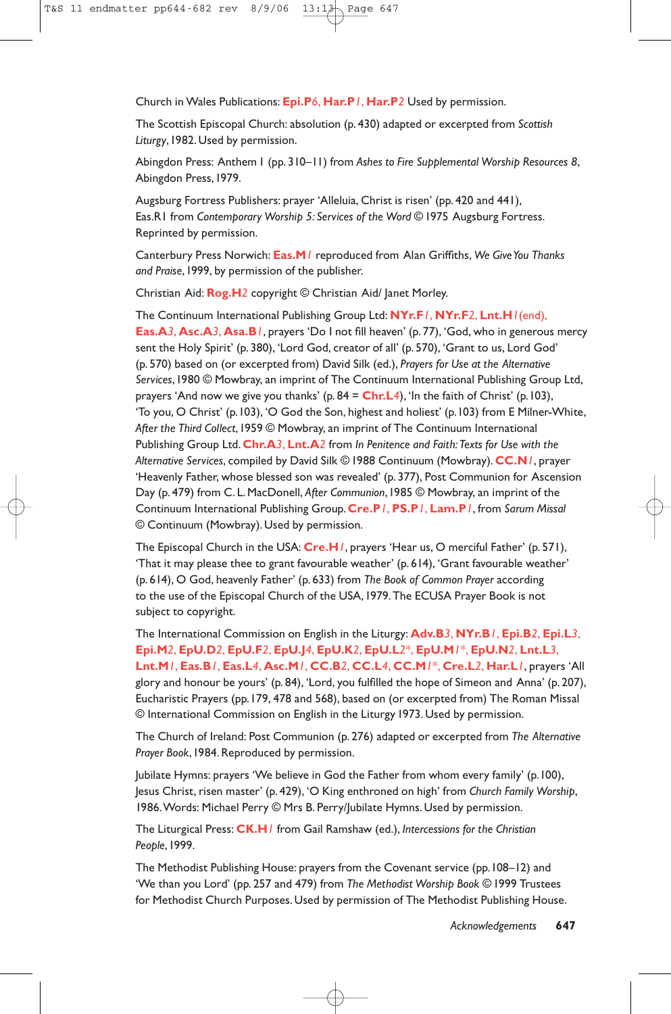Church in Wales Publications: **Epi.P***6*, **Har.P***1*, **Har.P***2* Used by permission.

The Scottish Episcopal Church: absolution (p. 430) adapted or excerpted from *Scottish Liturgy*,1982. Used by permission.

Abingdon Press: Anthem 1 (pp. 310–11) from *Ashes to Fire Supplemental Worship Resources 8*, Abingdon Press,1979.

Augsburg Fortress Publishers: prayer 'Alleluia, Christ is risen' (pp. 420 and 441), Eas.R1 from *Contemporary Worship 5: Services of the Word* © 1975 Augsburg Fortress. Reprinted by permission.

Canterbury Press Norwich: **Eas.M***1* reproduced from Alan Griffiths, *We Give You Thanks and Praise*,1999, by permission of the publisher.

Christian Aid: **Rog.H***2* copyright © Christian Aid/ Janet Morley.

The Continuum International Publishing Group Ltd: **NYr.F***1*, **NYr.F***2*, **Lnt.H***1*(end), **Eas.A***3*, **Asc.A***3*, **Asa.B***1*, prayers 'Do I not fill heaven' (p. 77), 'God, who in generous mercy sent the Holy Spirit' (p. 380), 'Lord God, creator of all' (p. 570), 'Grant to us, Lord God' (p. 570) based on (or excerpted from) David Silk (ed.), *Prayers for Use at the Alternative Services*,1980 © Mowbray, an imprint of The Continuum International Publishing Group Ltd, prayers 'And now we give you thanks' (p. 84 = **Chr.L***4*), 'In the faith of Christ' (p.103), 'To you, O Christ' (p.103), 'O God the Son, highest and holiest' (p.103) from E Milner-White, *After the Third Collect*,1959 © Mowbray, an imprint of The Continuum International Publishing Group Ltd.**Chr.A***3*, **Lnt.A***2* from *In Penitence and Faith:Texts for Use with the Alternative Services*, compiled by David Silk © 1988 Continuum (Mowbray).**CC.N***1*, prayer 'Heavenly Father, whose blessed son was revealed' (p. 377), Post Communion for Ascension Day (p. 479) from C. L. MacDonell, *After Communion*,1985 © Mowbray, an imprint of the Continuum International Publishing Group.**Cre.P***1*, **PS.P***1*, **Lam.P***1*, from *Sarum Missal* © Continuum (Mowbray). Used by permission.

The Episcopal Church in the USA: **Cre.H***1*, prayers 'Hear us, O merciful Father' (p. 571), 'That it may please thee to grant favourable weather' (p. 614), 'Grant favourable weather' (p. 614), O God, heavenly Father' (p. 633) from *The Book of Common Prayer* according to the use of the Episcopal Church of the USA,1979.The ECUSA Prayer Book is not subject to copyright.

The International Commission on English in the Liturgy: **Adv.B***3*, **NYr.B***1*, **Epi.B***2*, **Epi.L***3*, **Epi.M***2*, **EpU.D***2*, **EpU.F***2*, **EpU.J***4*, **EpU.K***2*, **EpU.L***2*\*, **EpU.M***1*\*, **EpU.N***2*, **Lnt.L***3*, **Lnt.M***1*, **Eas.B***1*, **Eas.L***4*, **Asc.M***1*, **CC.B***2*, **CC.L***4*, **CC.M***1*\*, **Cre.L***2*, **Har.L***1*, prayers 'All glory and honour be yours' (p. 84), 'Lord, you fulfilled the hope of Simeon and Anna' (p. 207), Eucharistic Prayers (pp.179, 478 and 568), based on (or excerpted from) The Roman Missal © International Commission on English in the Liturgy 1973. Used by permission.

The Church of Ireland: Post Communion (p. 276) adapted or excerpted from *The Alternative Prayer Book*,1984. Reproduced by permission.

Jubilate Hymns: prayers 'We believe in God the Father from whom every family' (p.100), Jesus Christ, risen master' (p. 429), 'O King enthroned on high' from *Church Family Worship*, 1986.Words: Michael Perry © Mrs B. Perry/Jubilate Hymns. Used by permission.

The Liturgical Press: **CK.H***1* from Gail Ramshaw (ed.), *Intercessions for the Christian People*,1999.

The Methodist Publishing House: prayers from the Covenant service (pp.108–12) and 'We than you Lord' (pp. 257 and 479) from *The Methodist Worship Book* © 1999 Trustees for Methodist Church Purposes. Used by permission of The Methodist Publishing House.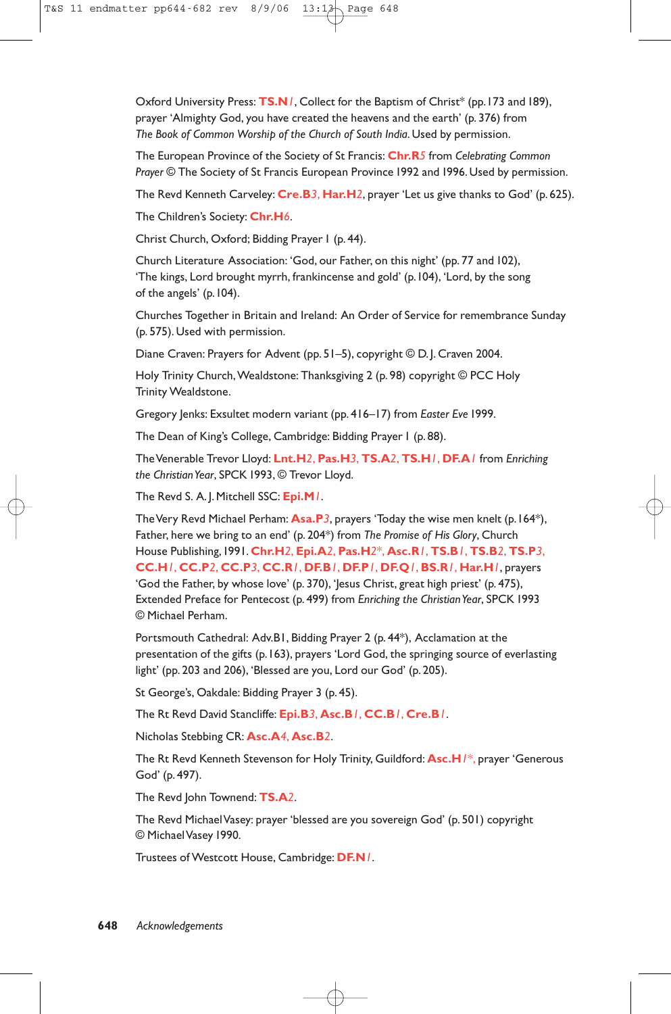Oxford University Press: **TS.N***1*, Collect for the Baptism of Christ\* (pp.173 and 189), prayer 'Almighty God, you have created the heavens and the earth' (p. 376) from *The Book of Common Worship of the Church of South India*. Used by permission.

The European Province of the Society of St Francis: **Chr.R***5* from *Celebrating Common Prayer* © The Society of St Francis European Province 1992 and 1996. Used by permission.

The Revd Kenneth Carveley: **Cre.B***3*, **Har.H***2*, prayer 'Let us give thanks to God' (p. 625).

The Children's Society: **Chr.H***6*.

Christ Church, Oxford; Bidding Prayer I (p. 44).

Church Literature Association: 'God, our Father, on this night' (pp. 77 and 102), 'The kings, Lord brought myrrh, frankincense and gold' (p.104), 'Lord, by the song of the angels' (p.104).

Churches Together in Britain and Ireland: An Order of Service for remembrance Sunday (p. 575). Used with permission.

Diane Craven: Prayers for Advent (pp. 51–5), copyright © D. J. Craven 2004.

Holy Trinity Church, Wealdstone: Thanksgiving 2 (p. 98) copyright © PCC Holy Trinity Wealdstone.

Gregory Jenks: Exsultet modern variant (pp. 416–17) from *Easter Eve* 1999.

The Dean of King's College, Cambridge: Bidding Prayer 1 (p. 88).

The Venerable Trevor Lloyd: **Lnt.H***2*, **Pas.H***3*, **TS.A***2*, **TS.H***1*, **DF.A***1* from *Enriching the Christian Year*, SPCK 1993, © Trevor Lloyd.

The Revd S. A. J. Mitchell SSC: **Epi.M***1*.

The Very Revd Michael Perham: **Asa.P***3*, prayers 'Today the wise men knelt (p.164\*), Father, here we bring to an end' (p. 204\*) from *The Promise of His Glory*, Church House Publishing,1991.**Chr.H***2*, **Epi.A***2*, **Pas.H***2*\*, **Asc.R***1*, **TS.B***1*, **TS.B***2*, **TS.P***3*, **CC.H***1*, **CC.P***2*, **CC.P***3*, **CC.R***1*, **DF.B***1*, **DF.P***1*, **DF.Q***1*, **BS.R***1*, **Har.H***1*, prayers 'God the Father, by whose love' (p. 370), 'Jesus Christ, great high priest' (p. 475), Extended Preface for Pentecost (p. 499) from *Enriching the Christian Year*, SPCK 1993 © Michael Perham.

Portsmouth Cathedral: Adv.B1, Bidding Prayer 2 (p. 44\*), Acclamation at the presentation of the gifts (p.163), prayers 'Lord God, the springing source of everlasting light' (pp. 203 and 206), 'Blessed are you, Lord our God' (p. 205).

St George's, Oakdale: Bidding Prayer 3 (p. 45).

The Rt Revd David Stancliffe: **Epi.B***3*, **Asc.B***1*, **CC.B***1*, **Cre.B***1*.

Nicholas Stebbing CR: **Asc.A***4*, **Asc.B***2*.

The Rt Revd Kenneth Stevenson for Holy Trinity, Guildford: **Asc.H***1*\*, prayer 'Generous God' (p. 497).

The Revd John Townend: **TS.A***2*.

The Revd Michael Vasey: prayer 'blessed are you sovereign God' (p. 501) copyright © Michael Vasey 1990.

Trustees of Westcott House, Cambridge: **DF.N***1*.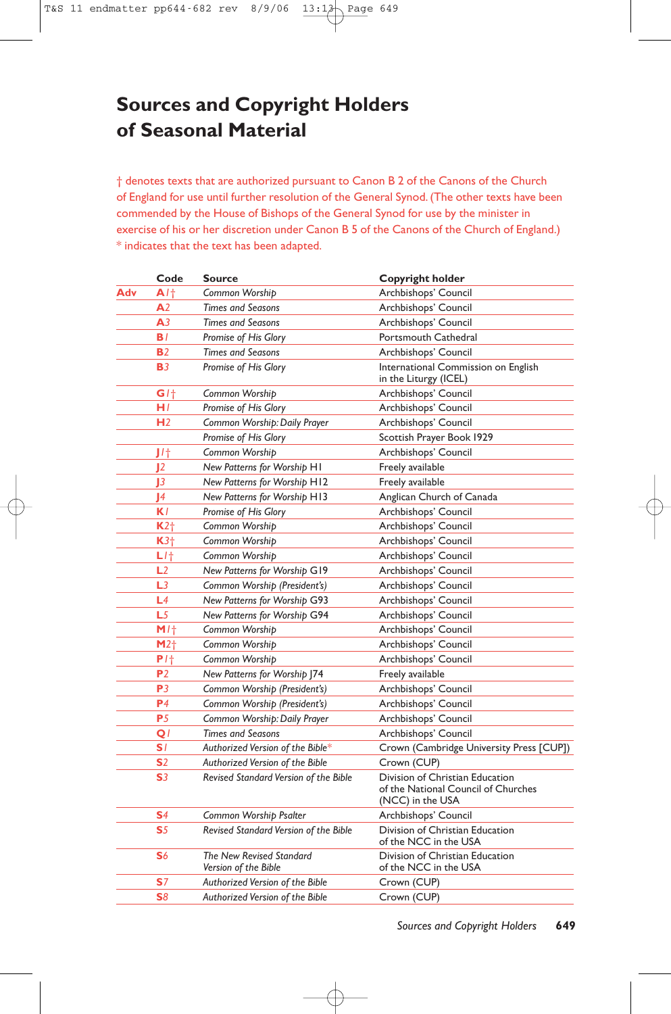# **Sources and Copyright Holders of Seasonal Material**

† denotes texts that are authorized pursuant to Canon B 2 of the Canons of the Church of England for use until further resolution of the General Synod. (The other texts have been commended by the House of Bishops of the General Synod for use by the minister in exercise of his or her discretion under Canon B 5 of the Canons of the Church of England.) \* indicates that the text has been adapted.

|     | Code            | <b>Source</b>                                    | Copyright holder                                                                           |
|-----|-----------------|--------------------------------------------------|--------------------------------------------------------------------------------------------|
| Adv | A/t             | Common Worship                                   | Archbishops' Council                                                                       |
|     | A <sub>2</sub>  | <b>Times and Seasons</b>                         | Archbishops' Council                                                                       |
|     | A <sub>3</sub>  | <b>Times and Seasons</b>                         | Archbishops' Council                                                                       |
|     | BI.             | Promise of His Glory                             | Portsmouth Cathedral                                                                       |
|     | <b>B2</b>       | <b>Times and Seasons</b>                         | Archbishops' Council                                                                       |
|     | <b>B</b> 3      | Promise of His Glory                             | International Commission on English<br>in the Liturgy (ICEL)                               |
|     | G/t             | Common Worship                                   | Archbishops' Council                                                                       |
|     | H I             | Promise of His Glory                             | Archbishops' Council                                                                       |
|     | H <sub>2</sub>  | Common Worship: Daily Prayer                     | Archbishops' Council                                                                       |
|     |                 | Promise of His Glory                             | Scottish Prayer Book 1929                                                                  |
|     | J/t             | Common Worship                                   | Archbishops' Council                                                                       |
|     | 12              | New Patterns for Worship H1                      | Freely available                                                                           |
|     | J3              | New Patterns for Worship H12                     | Freely available                                                                           |
|     | 4               | New Patterns for Worship H13                     | Anglican Church of Canada                                                                  |
|     | K l             | Promise of His Glory                             | Archbishops' Council                                                                       |
|     | $K2+$           | Common Worship                                   | Archbishops' Council                                                                       |
|     | $K3+$           | Common Worship                                   | Archbishops' Council                                                                       |
|     | $L$ /†          | Common Worship                                   | Archbishops' Council                                                                       |
|     | L2              | New Patterns for Worship G19                     | Archbishops' Council                                                                       |
|     | L3              | Common Worship (President's)                     | Archbishops' Council                                                                       |
|     | L4              | New Patterns for Worship G93                     | Archbishops' Council                                                                       |
|     | L <sub>5</sub>  | New Patterns for Worship G94                     | Archbishops' Council                                                                       |
|     | M/t             | Common Worship                                   | Archbishops' Council                                                                       |
|     | M2 <sub>1</sub> | Common Worship                                   | Archbishops' Council                                                                       |
|     | $P$ / $\dagger$ | Common Worship                                   | Archbishops' Council                                                                       |
|     | P <sub>2</sub>  | New Patterns for Worship 174                     | Freely available                                                                           |
|     | P3              | Common Worship (President's)                     | Archbishops' Council                                                                       |
|     | P <sub>4</sub>  | Common Worship (President's)                     | Archbishops' Council                                                                       |
|     | P <sub>5</sub>  | Common Worship: Daily Prayer                     | Archbishops' Council                                                                       |
|     | Q               | <b>Times and Seasons</b>                         | Archbishops' Council                                                                       |
|     | S1              | Authorized Version of the Bible*                 | Crown (Cambridge University Press [CUP])                                                   |
|     | S <sub>2</sub>  | Authorized Version of the Bible                  | Crown (CUP)                                                                                |
|     | S <sub>3</sub>  | Revised Standard Version of the Bible            | Division of Christian Education<br>of the National Council of Churches<br>(NCC) in the USA |
|     | S <sub>4</sub>  | Common Worship Psalter                           | Archbishops' Council                                                                       |
|     | S <sub>5</sub>  | Revised Standard Version of the Bible            | Division of Christian Education<br>of the NCC in the USA                                   |
|     | S6              | The New Revised Standard<br>Version of the Bible | Division of Christian Education<br>of the NCC in the USA                                   |
|     | S7              | Authorized Version of the Bible                  | Crown (CUP)                                                                                |
|     | S8              | Authorized Version of the Bible                  | Crown (CUP)                                                                                |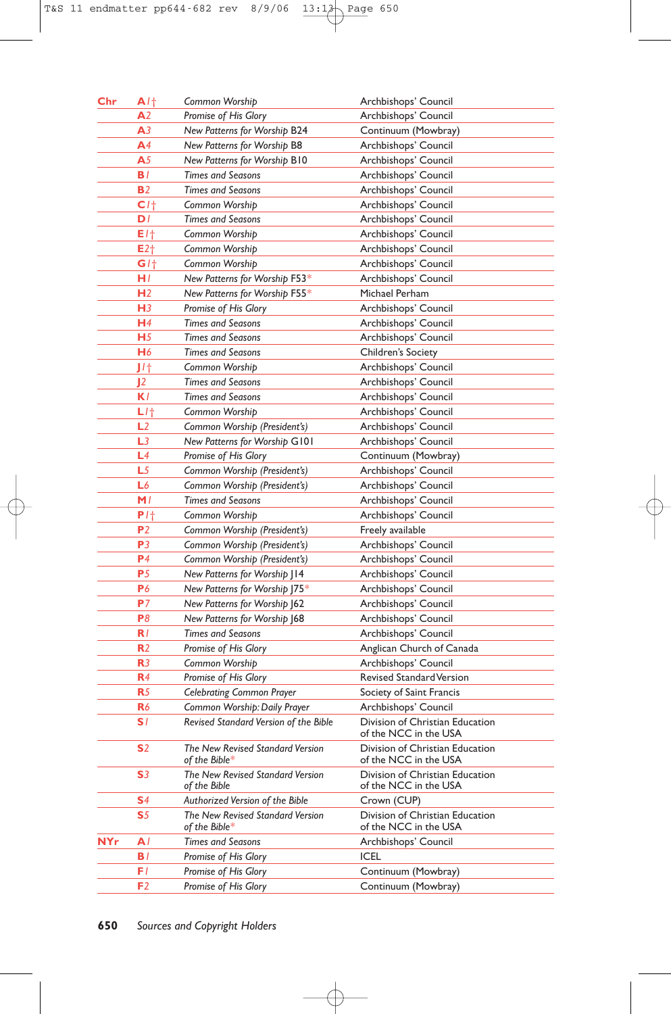| $_{\rm Chr}$ | $A$ / $\dagger$   | Common Worship                                           | Archbishops' Council                                     |
|--------------|-------------------|----------------------------------------------------------|----------------------------------------------------------|
|              | A <sub>2</sub>    | Promise of His Glory                                     | Archbishops' Council                                     |
|              | A3                | <b>New Patterns for Worship B24</b>                      | Continuum (Mowbray)                                      |
|              | A4                | New Patterns for Worship B8                              | Archbishops' Council                                     |
|              | A <sub>5</sub>    | New Patterns for Worship B10                             | Archbishops' Council                                     |
|              | BI.               | <b>Times and Seasons</b>                                 | Archbishops' Council                                     |
|              | <b>B2</b>         | <b>Times and Seasons</b>                                 | Archbishops' Council                                     |
|              | C <sub>1</sub>    | Common Worship                                           | Archbishops' Council                                     |
|              | DI                | <b>Times and Seasons</b>                                 | Archbishops' Council                                     |
|              | E/†               | Common Worship                                           | Archbishops' Council                                     |
|              | $E2$ <sup>+</sup> | Common Worship                                           | Archbishops' Council                                     |
|              | G/t               | Common Worship                                           | Archbishops' Council                                     |
|              | HI.               | New Patterns for Worship F53*                            | Archbishops' Council                                     |
|              | H <sub>2</sub>    | New Patterns for Worship F55*                            | Michael Perham                                           |
|              | H3                | Promise of His Glory                                     | Archbishops' Council                                     |
|              | H4                | <b>Times and Seasons</b>                                 | Archbishops' Council                                     |
|              | H <sub>5</sub>    | <b>Times and Seasons</b>                                 | Archbishops' Council                                     |
|              | H6                | <b>Times and Seasons</b>                                 | Children's Society                                       |
|              | J/t               | Common Worship                                           | Archbishops' Council                                     |
|              | 12                | <b>Times and Seasons</b>                                 | Archbishops' Council                                     |
|              | K l               | <b>Times and Seasons</b>                                 | Archbishops' Council                                     |
|              | $L$ / $\dagger$   | Common Worship                                           | Archbishops' Council                                     |
|              | L <sub>2</sub>    | Common Worship (President's)                             | Archbishops' Council                                     |
|              | L <sub>3</sub>    | New Patterns for Worship G101                            | Archbishops' Council                                     |
|              | L4                | Promise of His Glory                                     | Continuum (Mowbray)                                      |
|              | L5                | Common Worship (President's)                             | Archbishops' Council                                     |
|              | L6                |                                                          |                                                          |
|              | M/                | Common Worship (President's)<br><b>Times and Seasons</b> | Archbishops' Council                                     |
|              | $P$ / $\dagger$   |                                                          | Archbishops' Council                                     |
|              | P <sub>2</sub>    | Common Worship                                           | Archbishops' Council                                     |
|              | P3                | Common Worship (President's)                             | Freely available                                         |
|              | P <sub>4</sub>    | Common Worship (President's)                             | Archbishops' Council                                     |
|              |                   | Common Worship (President's)                             | Archbishops' Council                                     |
|              | P <sub>5</sub>    | New Patterns for Worship   14                            | Archbishops' Council                                     |
|              | P6                | New Patterns for Worship J75*                            | Archbishops' Council                                     |
|              | P <sub>7</sub>    | New Patterns for Worship J62                             | Archbishops' Council                                     |
|              | P8                | New Patterns for Worship J68                             | Archbishops' Council                                     |
|              | R/                | <b>Times and Seasons</b>                                 | Archbishops' Council                                     |
|              | R <sub>2</sub>    | Promise of His Glory                                     | Anglican Church of Canada                                |
|              | R <sub>3</sub>    | Common Worship                                           | Archbishops' Council                                     |
|              | R4                | Promise of His Glory                                     | Revised Standard Version                                 |
|              | R <sub>5</sub>    | <b>Celebrating Common Prayer</b>                         | Society of Saint Francis                                 |
|              | R6                | Common Worship: Daily Prayer                             | Archbishops' Council                                     |
|              | S I               | Revised Standard Version of the Bible                    | Division of Christian Education<br>of the NCC in the USA |
|              | S2                | The New Revised Standard Version<br>of the Bible*        | Division of Christian Education<br>of the NCC in the USA |
|              | S3                | The New Revised Standard Version<br>of the Bible         | Division of Christian Education<br>of the NCC in the USA |
|              | S4                | Authorized Version of the Bible                          | Crown (CUP)                                              |
|              | S5                | The New Revised Standard Version<br>of the Bible $*$     | Division of Christian Education<br>of the NCC in the USA |
| NYr          | A۱                | <b>Times and Seasons</b>                                 | Archbishops' Council                                     |
|              | B I               | Promise of His Glory                                     | ICEL                                                     |
|              | FΙ                | Promise of His Glory                                     | Continuum (Mowbray)                                      |
|              | F2                | Promise of His Glory                                     | Continuum (Mowbray)                                      |
|              |                   |                                                          |                                                          |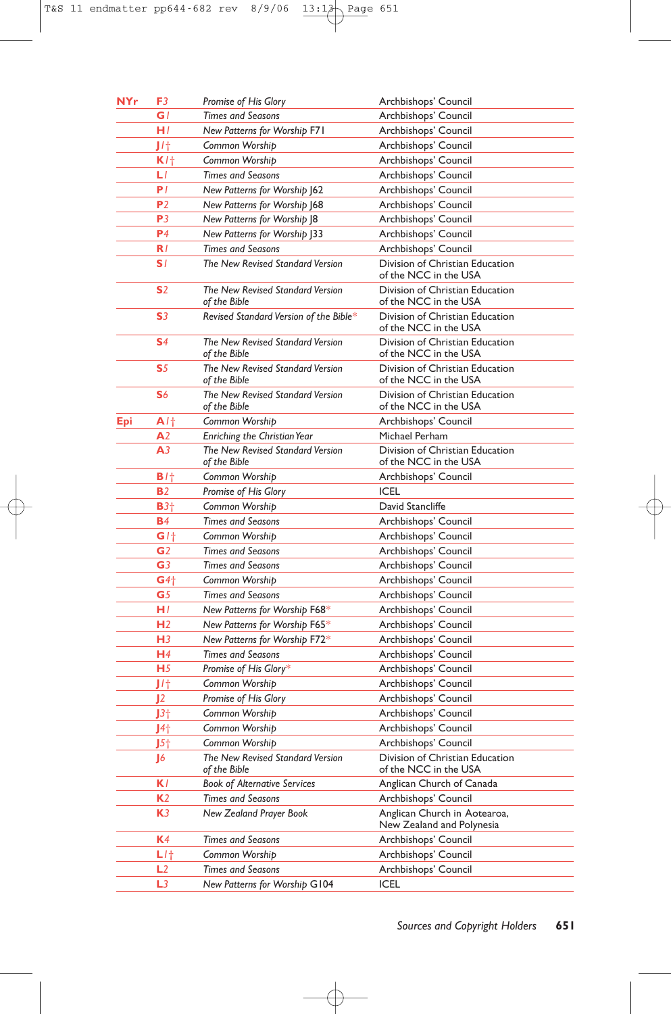| <b>NYr</b> | F3              | <b>Promise of His Glory</b>                      | Archbishops' Council                                      |
|------------|-----------------|--------------------------------------------------|-----------------------------------------------------------|
|            | G/              | <b>Times and Seasons</b>                         | Archbishops' Council                                      |
|            | H/              | New Patterns for Worship F71                     | Archbishops' Council                                      |
|            | J/t             | Common Worship                                   | Archbishops' Council                                      |
|            | K/t             | Common Worship                                   | Archbishops' Council                                      |
|            | LI              | <b>Times and Seasons</b>                         | Archbishops' Council                                      |
|            | P <sub>I</sub>  | New Patterns for Worship J62                     | Archbishops' Council                                      |
|            | P <sub>2</sub>  | New Patterns for Worship J68                     | Archbishops' Council                                      |
|            | P3              | New Patterns for Worship J8                      | Archbishops' Council                                      |
|            | P <sub>4</sub>  | New Patterns for Worship J33                     | Archbishops' Council                                      |
|            | R/              | <b>Times and Seasons</b>                         | Archbishops' Council                                      |
|            | S I             | The New Revised Standard Version                 | Division of Christian Education<br>of the NCC in the USA  |
|            | <b>S</b> 2      | The New Revised Standard Version<br>of the Bible | Division of Christian Education<br>of the NCC in the USA  |
|            | S3              | Revised Standard Version of the Bible*           | Division of Christian Education<br>of the NCC in the USA  |
|            | S <sub>4</sub>  | The New Revised Standard Version<br>of the Bible | Division of Christian Education<br>of the NCC in the USA  |
|            | S <sub>5</sub>  | The New Revised Standard Version<br>of the Bible | Division of Christian Education<br>of the NCC in the USA  |
|            | S6              | The New Revised Standard Version<br>of the Bible | Division of Christian Education<br>of the NCC in the USA  |
| Epi        | A/t             | Common Worship                                   | Archbishops' Council                                      |
|            | ${\bf A}2$      | <b>Enriching the Christian Year</b>              | Michael Perham                                            |
|            | A <sub>3</sub>  | The New Revised Standard Version<br>of the Bible | Division of Christian Education<br>of the NCC in the USA  |
|            | B/t             | Common Worship                                   | Archbishops' Council                                      |
|            | <b>B2</b>       | Promise of His Glory                             | <b>ICEL</b>                                               |
|            | $B3+$           | Common Worship                                   | David Stancliffe                                          |
|            | <b>B</b> 4      | <b>Times and Seasons</b>                         | Archbishops' Council                                      |
|            | G/t             | Common Worship                                   | Archbishops' Council                                      |
|            | G <sub>2</sub>  | <b>Times and Seasons</b>                         | Archbishops' Council                                      |
|            | G <sub>3</sub>  | <b>Times and Seasons</b>                         | Archbishops' Council                                      |
|            | $G4\dagger$     | Common Worship                                   | Archbishops' Council                                      |
|            | G <sub>5</sub>  | <b>Times and Seasons</b>                         | Archbishops' Council                                      |
|            | HI.             | New Patterns for Worship F68*                    | Archbishops' Council                                      |
|            | H <sub>2</sub>  | New Patterns for Worship F65*                    | Archbishops' Council                                      |
|            | H <sub>3</sub>  | New Patterns for Worship F72*                    | Archbishops' Council                                      |
|            | H <sub>4</sub>  | <b>Times and Seasons</b>                         | Archbishops' Council                                      |
|            | H <sub>5</sub>  | Promise of His Glory*                            | Archbishops' Council                                      |
|            | JI†             | Common Worship                                   | Archbishops' Council                                      |
|            | J2              | <b>Promise of His Glory</b>                      | Archbishops' Council                                      |
|            | $J3+$           | Common Worship                                   | Archbishops' Council                                      |
|            | J4 <sub>†</sub> | Common Worship                                   | Archbishops' Council                                      |
|            | J5 <sub>†</sub> | Common Worship                                   | Archbishops' Council                                      |
|            | J6              | The New Revised Standard Version<br>of the Bible | Division of Christian Education<br>of the NCC in the USA  |
|            | KI.             | <b>Book of Alternative Services</b>              | Anglican Church of Canada                                 |
|            | K <sub>2</sub>  | <b>Times and Seasons</b>                         | Archbishops' Council                                      |
|            | K3              | New Zealand Prayer Book                          | Anglican Church in Aotearoa,<br>New Zealand and Polynesia |
|            | <b>K</b> 4      | <b>Times and Seasons</b>                         | Archbishops' Council                                      |
|            | $L$ / $\dagger$ | Common Worship                                   | Archbishops' Council                                      |
|            | L2              | <b>Times and Seasons</b>                         | Archbishops' Council                                      |
|            | L3              | New Patterns for Worship G104                    | ICEL                                                      |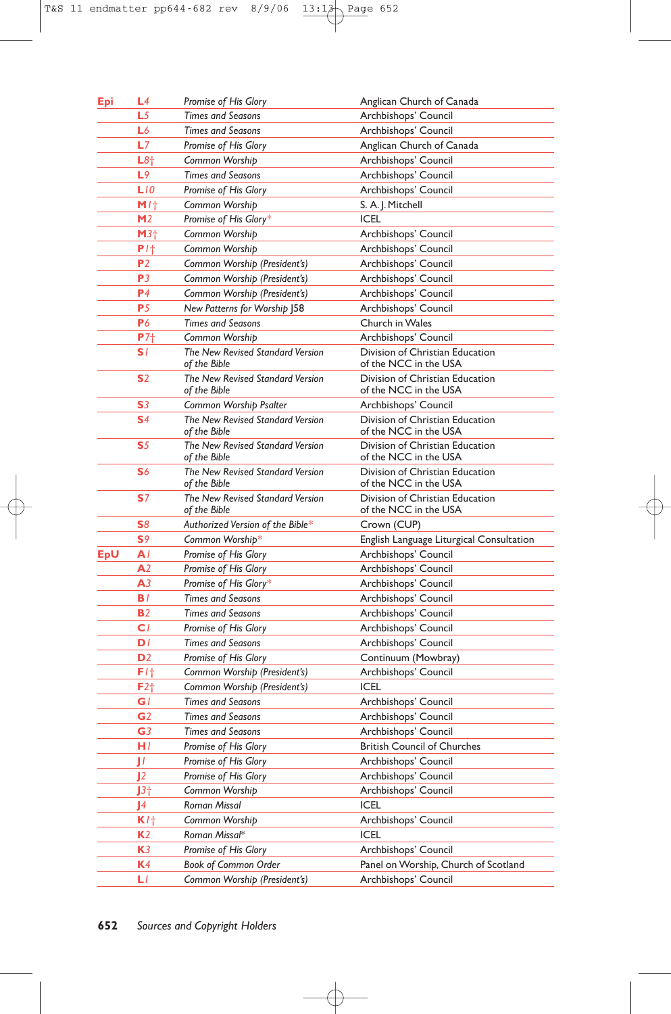| Epi | L4              | Promise of His Glory                             | Anglican Church of Canada                                |
|-----|-----------------|--------------------------------------------------|----------------------------------------------------------|
|     | L5              | <b>Times and Seasons</b>                         | Archbishops' Council                                     |
|     | L6              | <b>Times and Seasons</b>                         | Archbishops' Council                                     |
|     | L7              | Promise of His Glory                             | Anglican Church of Canada                                |
|     | L8 <sub>†</sub> | Common Worship                                   | Archbishops' Council                                     |
|     | L9              | <b>Times and Seasons</b>                         | Archbishops' Council                                     |
|     | LIO             | Promise of His Glory                             | Archbishops' Council                                     |
|     | M/t             | Common Worship                                   | S. A. J. Mitchell                                        |
|     | M <sub>2</sub>  | Promise of His Glory*                            | <b>ICEL</b>                                              |
|     | M3 <sub>†</sub> | Common Worship                                   | Archbishops' Council                                     |
|     | $P$ / $\dagger$ | Common Worship                                   | Archbishops' Council                                     |
|     | P <sub>2</sub>  | Common Worship (President's)                     | Archbishops' Council                                     |
|     | P <sub>3</sub>  | Common Worship (President's)                     | Archbishops' Council                                     |
|     | P <sub>4</sub>  | Common Worship (President's)                     | Archbishops' Council                                     |
|     | P5              | New Patterns for Worship J58                     | Archbishops' Council                                     |
|     | P6              | <b>Times and Seasons</b>                         | Church in Wales                                          |
|     | P7 <sub>†</sub> | Common Worship                                   | Archbishops' Council                                     |
|     | S1              | The New Revised Standard Version                 | Division of Christian Education                          |
|     |                 | of the Bible                                     | of the NCC in the USA                                    |
|     | S <sub>2</sub>  | The New Revised Standard Version<br>of the Bible | Division of Christian Education<br>of the NCC in the USA |
|     | S <sub>3</sub>  | Common Worship Psalter                           | Archbishops' Council                                     |
|     | S <sub>4</sub>  | The New Revised Standard Version<br>of the Bible | Division of Christian Education<br>of the NCC in the USA |
|     | S <sub>5</sub>  | The New Revised Standard Version<br>of the Bible | Division of Christian Education<br>of the NCC in the USA |
|     | S6              | The New Revised Standard Version<br>of the Bible | Division of Christian Education<br>of the NCC in the USA |
|     | S7              | The New Revised Standard Version<br>of the Bible | Division of Christian Education<br>of the NCC in the USA |
|     | S8              | Authorized Version of the Bible*                 | Crown (CUP)                                              |
|     | S <sub>9</sub>  | Common Worship*                                  | English Language Liturgical Consultation                 |
| EpU | A۱              | Promise of His Glory                             | Archbishops' Council                                     |
|     | A2              | Promise of His Glory                             | Archbishops' Council                                     |
|     | A <sub>3</sub>  | Promise of His Glory*                            | Archbishops' Council                                     |
|     | BI.             | <b>Times and Seasons</b>                         | Archbishops' Council                                     |
|     | <b>B2</b>       | <b>Times and Seasons</b>                         | Archbishops' Council                                     |
|     | CI.             | Promise of His Glory                             | Archbishops' Council                                     |
|     | DI              | <b>Times and Seasons</b>                         | Archbishops' Council                                     |
|     | D <sub>2</sub>  | Promise of His Glory                             | Continuum (Mowbray)                                      |
|     | F/t             | Common Worship (President's)                     | Archbishops' Council                                     |
|     | $F2\dagger$     | Common Worship (President's)                     | ICEL                                                     |
|     | GI              | Times and Seasons                                | Archbishops' Council                                     |
|     | G <sub>2</sub>  | <b>Times and Seasons</b>                         | Archbishops' Council                                     |
|     | G <sub>3</sub>  | <b>Times and Seasons</b>                         | Archbishops' Council                                     |
|     | HI.             | Promise of His Glory                             | <b>British Council of Churches</b>                       |
|     | П               | Promise of His Glory                             | Archbishops' Council                                     |
|     | 12              | Promise of His Glory                             | Archbishops' Council                                     |
|     | $J3+$           | Common Worship                                   | Archbishops' Council                                     |
|     | J4              | <b>Roman Missal</b>                              | <b>ICEL</b>                                              |
|     | K/t             | Common Worship                                   | Archbishops' Council                                     |
|     | <b>K2</b>       | Roman Missal*                                    | <b>ICEL</b>                                              |
|     | K3              | Promise of His Glory                             | Archbishops' Council                                     |
|     | K4              | <b>Book of Common Order</b>                      | Panel on Worship, Church of Scotland                     |
|     | LI.             | Common Worship (President's)                     | Archbishops' Council                                     |
|     |                 |                                                  |                                                          |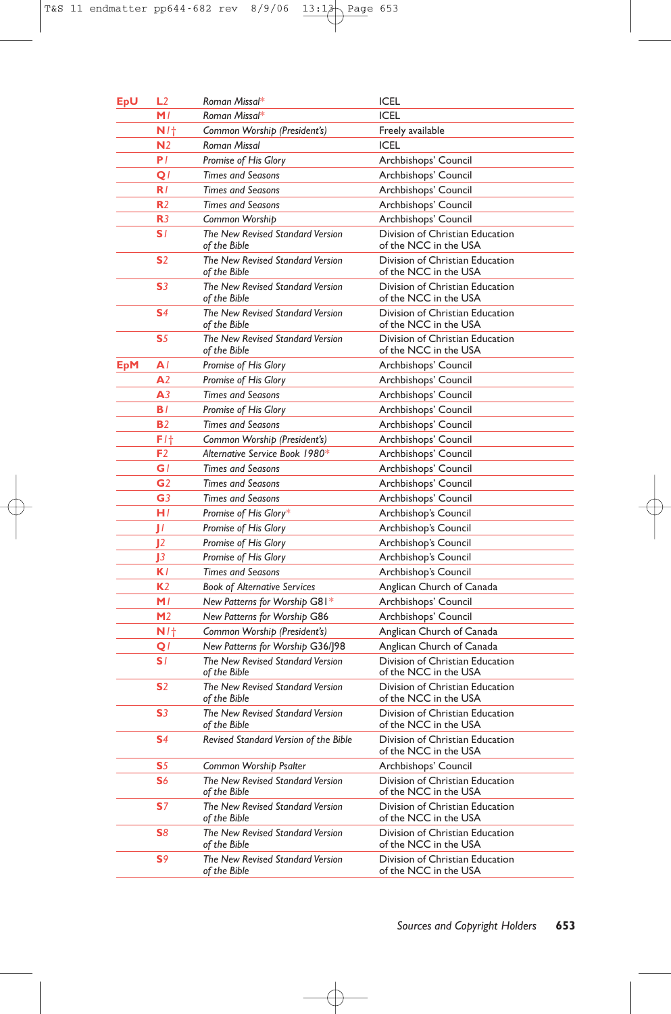| EpU | L2             | Roman Missal*                                    | ICEL                                                     |
|-----|----------------|--------------------------------------------------|----------------------------------------------------------|
|     | M/             | Roman Missal*                                    | <b>ICEL</b>                                              |
|     | N/t            | Common Worship (President's)                     | Freely available                                         |
|     | N <sub>2</sub> | Roman Missal                                     | <b>ICEL</b>                                              |
|     | PI.            | Promise of His Glory                             | Archbishops' Council                                     |
|     | Q1             | <b>Times and Seasons</b>                         | Archbishops' Council                                     |
|     | R/             | <b>Times and Seasons</b>                         | Archbishops' Council                                     |
|     | R <sub>2</sub> | <b>Times and Seasons</b>                         | Archbishops' Council                                     |
|     | R <sub>3</sub> | Common Worship                                   | Archbishops' Council                                     |
|     | S1             | The New Revised Standard Version<br>of the Bible | Division of Christian Education<br>of the NCC in the USA |
|     | S <sub>2</sub> | The New Revised Standard Version<br>of the Bible | Division of Christian Education<br>of the NCC in the USA |
|     | S <sub>3</sub> | The New Revised Standard Version<br>of the Bible | Division of Christian Education<br>of the NCC in the USA |
|     | S <sub>4</sub> | The New Revised Standard Version<br>of the Bible | Division of Christian Education<br>of the NCC in the USA |
|     | S5             | The New Revised Standard Version<br>of the Bible | Division of Christian Education<br>of the NCC in the USA |
| EpM | A۱             | Promise of His Glory                             | Archbishops' Council                                     |
|     | A <sub>2</sub> | Promise of His Glory                             | Archbishops' Council                                     |
|     | A <sub>3</sub> | <b>Times and Seasons</b>                         | Archbishops' Council                                     |
|     | BI.            | Promise of His Glory                             | Archbishops' Council                                     |
|     | <b>B2</b>      | <b>Times and Seasons</b>                         | Archbishops' Council                                     |
|     | F1†            | Common Worship (President's)                     | Archbishops' Council                                     |
|     | F <sub>2</sub> | Alternative Service Book 1980*                   | Archbishops' Council                                     |
|     | G l            | <b>Times and Seasons</b>                         | Archbishops' Council                                     |
|     | G <sub>2</sub> | <b>Times and Seasons</b>                         | Archbishops' Council                                     |
|     | G <sub>3</sub> | <b>Times and Seasons</b>                         | Archbishops' Council                                     |
|     | H/             | Promise of His Glory*                            | Archbishop's Council                                     |
|     | П              | Promise of His Glory                             | Archbishop's Council                                     |
|     | $\mathbf{I}$   | Promise of His Glory                             | Archbishop's Council                                     |
|     | J3             | Promise of His Glory                             | Archbishop's Council                                     |
|     | KI.            | <b>Times and Seasons</b>                         | Archbishop's Council                                     |
|     | K <sub>2</sub> | <b>Book of Alternative Services</b>              | Anglican Church of Canada                                |
|     | M/             | New Patterns for Worship G81*                    | Archbishops' Council                                     |
|     | M <sub>2</sub> | New Patterns for Worship G86                     | Archbishops' Council                                     |
|     | N/t            | Common Worship (President's)                     | Anglican Church of Canada                                |
|     | QI             | New Patterns for Worship G36/198                 | Anglican Church of Canada                                |
|     | SI.            | The New Revised Standard Version<br>of the Bible | Division of Christian Education<br>of the NCC in the USA |
|     | S <sub>2</sub> | The New Revised Standard Version<br>of the Bible | Division of Christian Education<br>of the NCC in the USA |
|     | S <sub>3</sub> | The New Revised Standard Version<br>of the Bible | Division of Christian Education<br>of the NCC in the USA |
|     | S <sub>4</sub> | Revised Standard Version of the Bible            | Division of Christian Education<br>of the NCC in the USA |
|     | S5             | Common Worship Psalter                           | Archbishops' Council                                     |
|     | S6             | The New Revised Standard Version<br>of the Bible | Division of Christian Education<br>of the NCC in the USA |
|     | S7             | The New Revised Standard Version<br>of the Bible | Division of Christian Education<br>of the NCC in the USA |
|     | S8             | The New Revised Standard Version<br>of the Bible | Division of Christian Education<br>of the NCC in the USA |
|     | S9             | The New Revised Standard Version<br>of the Bible | Division of Christian Education<br>of the NCC in the USA |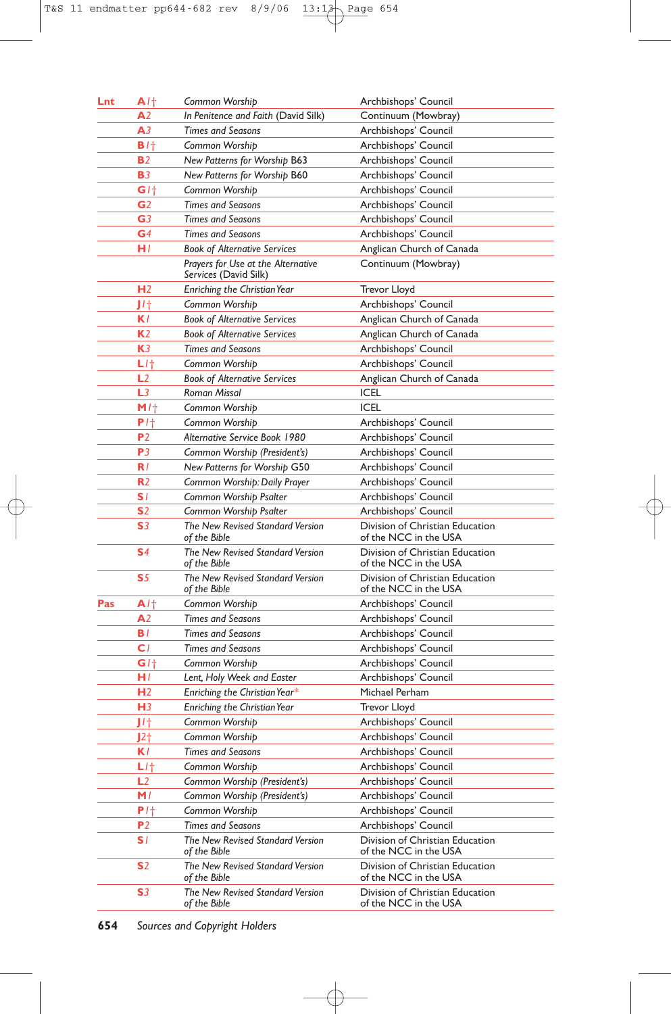| Lnt | A/t               | Common Worship                                              | Archbishops' Council                                     |
|-----|-------------------|-------------------------------------------------------------|----------------------------------------------------------|
|     | A <sub>2</sub>    | In Penitence and Faith (David Silk)                         | Continuum (Mowbray)                                      |
|     | A <sub>3</sub>    | <b>Times and Seasons</b>                                    | Archbishops' Council                                     |
|     | B/t               | Common Worship                                              | Archbishops' Council                                     |
|     | <b>B2</b>         | New Patterns for Worship B63                                | Archbishops' Council                                     |
|     | <b>B3</b>         | New Patterns for Worship B60                                | Archbishops' Council                                     |
|     | G/t               | Common Worship                                              | Archbishops' Council                                     |
|     | G <sub>2</sub>    | <b>Times and Seasons</b>                                    | Archbishops' Council                                     |
|     | G <sub>3</sub>    | <b>Times and Seasons</b>                                    | Archbishops' Council                                     |
|     | G <sub>4</sub>    | <b>Times and Seasons</b>                                    | Archbishops' Council                                     |
|     | H/                | <b>Book of Alternative Services</b>                         | Anglican Church of Canada                                |
|     |                   | Prayers for Use at the Alternative<br>Services (David Silk) | Continuum (Mowbray)                                      |
|     | H <sub>2</sub>    | Enriching the Christian Year                                | Trevor Lloyd                                             |
|     | J/t               | Common Worship                                              | Archbishops' Council                                     |
|     | K l               | <b>Book of Alternative Services</b>                         | Anglican Church of Canada                                |
|     | K <sub>2</sub>    | <b>Book of Alternative Services</b>                         | Anglican Church of Canada                                |
|     | K <sub>3</sub>    | <b>Times and Seasons</b>                                    | Archbishops' Council                                     |
|     | L/t               | Common Worship                                              | Archbishops' Council                                     |
|     | L2                | <b>Book of Alternative Services</b>                         | Anglican Church of Canada                                |
|     | L <sub>3</sub>    | <b>Roman Missal</b>                                         | <b>ICEL</b>                                              |
|     | M/t               | Common Worship                                              | <b>ICEL</b>                                              |
|     | $P1$ <sup>+</sup> | Common Worship                                              | Archbishops' Council                                     |
|     | P <sub>2</sub>    | Alternative Service Book 1980                               | Archbishops' Council                                     |
|     | P3                | Common Worship (President's)                                | Archbishops' Council                                     |
|     | R/                | New Patterns for Worship G50                                | Archbishops' Council                                     |
|     | R <sub>2</sub>    | Common Worship: Daily Prayer                                | Archbishops' Council                                     |
|     | S1                | Common Worship Psalter                                      | Archbishops' Council                                     |
|     | S <sub>2</sub>    | Common Worship Psalter                                      | Archbishops' Council                                     |
|     | S <sub>3</sub>    | The New Revised Standard Version<br>of the Bible            | Division of Christian Education<br>of the NCC in the USA |
|     | S <sub>4</sub>    | The New Revised Standard Version<br>of the Bible            | Division of Christian Education<br>of the NCC in the USA |
|     | S <sub>5</sub>    | The New Revised Standard Version<br>of the Bible            | Division of Christian Education<br>of the NCC in the USA |
| Pas | A/t               | Common Worship                                              | Archbishops' Council                                     |
|     | A <sub>2</sub>    | <b>Times and Seasons</b>                                    | Archbishops' Council                                     |
|     | B/                | <b>Times and Seasons</b>                                    | Archbishops' Council                                     |
|     | C/                | <b>Times and Seasons</b>                                    | Archbishops' Council                                     |
|     | G/t               | Common Worship                                              | Archbishops' Council                                     |
|     | HI.               | Lent, Holy Week and Easter                                  | Archbishops' Council                                     |
|     | H <sub>2</sub>    | Enriching the Christian Year*                               | Michael Perham                                           |
|     | H <sub>3</sub>    | Enriching the Christian Year                                | Trevor Lloyd                                             |
|     | J/t               | Common Worship                                              | Archbishops' Council                                     |
|     | J2 <sub>†</sub>   | Common Worship                                              | Archbishops' Council                                     |
|     | K l               | <b>Times and Seasons</b>                                    | Archbishops' Council                                     |
|     | $L$ / $\dagger$   | Common Worship                                              | Archbishops' Council                                     |
|     | L <sub>2</sub>    | Common Worship (President's)                                | Archbishops' Council                                     |
|     | M/                | Common Worship (President's)                                | Archbishops' Council                                     |
|     | $P1$ <sup>+</sup> | Common Worship                                              | Archbishops' Council                                     |
|     | P <sub>2</sub>    | <b>Times and Seasons</b>                                    | Archbishops' Council                                     |
|     | SI.               | The New Revised Standard Version<br>of the Bible            | Division of Christian Education<br>of the NCC in the USA |
|     | <b>S</b> 2        | The New Revised Standard Version<br>of the Bible            | Division of Christian Education<br>of the NCC in the USA |
|     | S <sub>3</sub>    | The New Revised Standard Version<br>of the Bible            | Division of Christian Education<br>of the NCC in the USA |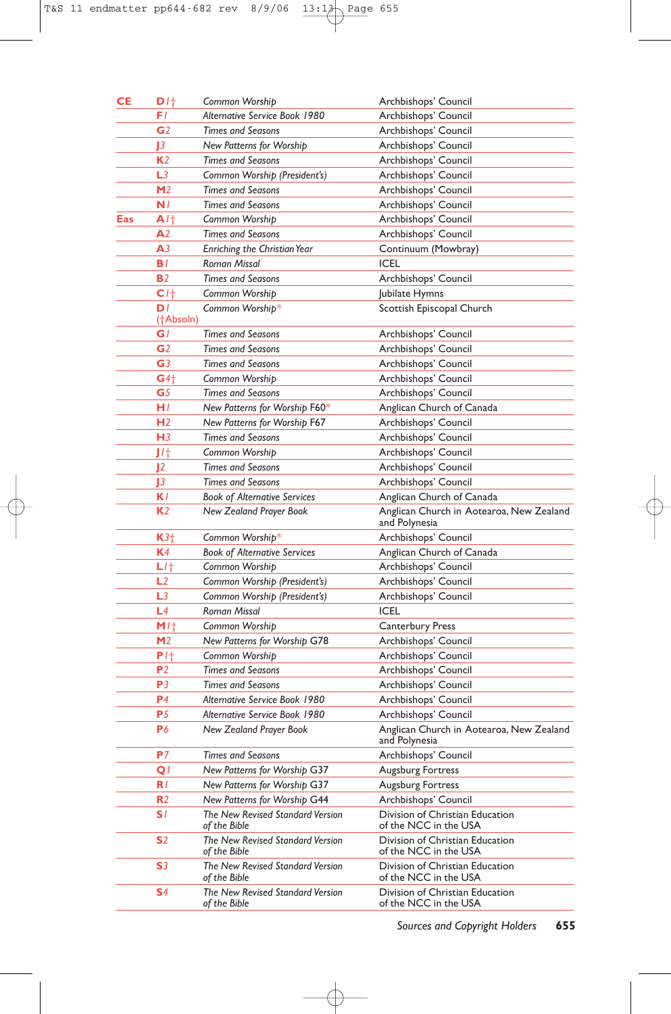| <b>CE</b> | D/t                         | Common Worship                                   | Archbishops' Council                                      |
|-----------|-----------------------------|--------------------------------------------------|-----------------------------------------------------------|
|           | FΙ                          | Alternative Service Book 1980                    | Archbishops' Council                                      |
|           | G <sub>2</sub>              | <b>Times and Seasons</b>                         | Archbishops' Council                                      |
|           | $\mathbf{E}$                | New Patterns for Worship                         | Archbishops' Council                                      |
|           | K <sub>2</sub>              | <b>Times and Seasons</b>                         | Archbishops' Council                                      |
|           | L <sub>3</sub>              | Common Worship (President's)                     | Archbishops' Council                                      |
|           | M <sub>2</sub>              | <b>Times and Seasons</b>                         | Archbishops' Council                                      |
|           | N/                          | <b>Times and Seasons</b>                         | Archbishops' Council                                      |
| Eas       | A/t                         | Common Worship                                   | Archbishops' Council                                      |
|           | A <sub>2</sub>              | <b>Times and Seasons</b>                         | Archbishops' Council                                      |
|           | A <sub>3</sub>              | <b>Enriching the Christian Year</b>              | Continuum (Mowbray)                                       |
|           | BI.                         | Roman Missal                                     | ICEL                                                      |
|           | <b>B2</b>                   | <b>Times and Seasons</b>                         | Archbishops' Council                                      |
|           | C <sub>1</sub>              | Common Worship                                   | Jubilate Hymns                                            |
|           | D <sub>I</sub><br>(†Absoln) | Common Worship*                                  | Scottish Episcopal Church                                 |
|           | G I                         | <b>Times and Seasons</b>                         | Archbishops' Council                                      |
|           | G <sub>2</sub>              | <b>Times and Seasons</b>                         | Archbishops' Council                                      |
|           | G <sub>3</sub>              | <b>Times and Seasons</b>                         | Archbishops' Council                                      |
|           | $G4+$                       | Common Worship                                   | Archbishops' Council                                      |
|           | G <sub>5</sub>              | <b>Times and Seasons</b>                         | Archbishops' Council                                      |
|           | H/                          | New Patterns for Worship F60*                    | Anglican Church of Canada                                 |
|           | H <sub>2</sub>              | New Patterns for Worship F67                     | Archbishops' Council                                      |
|           | H <sub>3</sub>              | <b>Times and Seasons</b>                         | Archbishops' Council                                      |
|           | J/t                         | Common Worship                                   | Archbishops' Council                                      |
|           | 12                          | <b>Times and Seasons</b>                         | Archbishops' Council                                      |
|           | J3                          | <b>Times and Seasons</b>                         | Archbishops' Council                                      |
|           | K l                         | <b>Book of Alternative Services</b>              | Anglican Church of Canada                                 |
|           | K <sub>2</sub>              | New Zealand Prayer Book                          | Anglican Church in Aotearoa, New Zealand<br>and Polynesia |
|           | $K3+$                       | Common Worship*                                  | Archbishops' Council                                      |
|           | K <sub>4</sub>              | <b>Book of Alternative Services</b>              | Anglican Church of Canada                                 |
|           | $L$ /†                      | Common Worship                                   | Archbishops' Council                                      |
|           | L2                          | Common Worship (President's)                     | Archbishops' Council                                      |
|           | L <sub>3</sub>              | Common Worship (President's)                     | Archbishops' Council                                      |
|           | L4                          | <b>Roman Missal</b>                              | <b>ICEL</b>                                               |
|           | M/t                         | Common Worship                                   | <b>Canterbury Press</b>                                   |
|           | M <sub>2</sub>              | New Patterns for Worship G78                     | Archbishops' Council                                      |
|           | P1 <sub>†</sub>             | Common Worship                                   | Archbishops' Council                                      |
|           | P <sub>2</sub>              | <b>Times and Seasons</b>                         | Archbishops' Council                                      |
|           | P3                          | <b>Times and Seasons</b>                         | Archbishops' Council                                      |
|           | P4                          | Alternative Service Book 1980                    | Archbishops' Council                                      |
|           | P <sub>5</sub>              | Alternative Service Book 1980                    | Archbishops' Council                                      |
|           | P6                          | New Zealand Prayer Book                          | Anglican Church in Aotearoa, New Zealand<br>and Polynesia |
|           | P7                          | <b>Times and Seasons</b>                         | Archbishops' Council                                      |
|           | Q <sub>1</sub>              | New Patterns for Worship G37                     | Augsburg Fortress                                         |
|           | R/                          | New Patterns for Worship G37                     | Augsburg Fortress                                         |
|           | R <sub>2</sub>              | New Patterns for Worship G44                     | Archbishops' Council                                      |
|           | S1                          | The New Revised Standard Version<br>of the Bible | Division of Christian Education<br>of the NCC in the USA  |
|           | <b>S</b> 2                  | The New Revised Standard Version<br>of the Bible | Division of Christian Education<br>of the NCC in the USA  |
|           | S3                          | The New Revised Standard Version<br>of the Bible | Division of Christian Education<br>of the NCC in the USA  |
|           | S4                          | The New Revised Standard Version<br>of the Bible | Division of Christian Education<br>of the NCC in the USA  |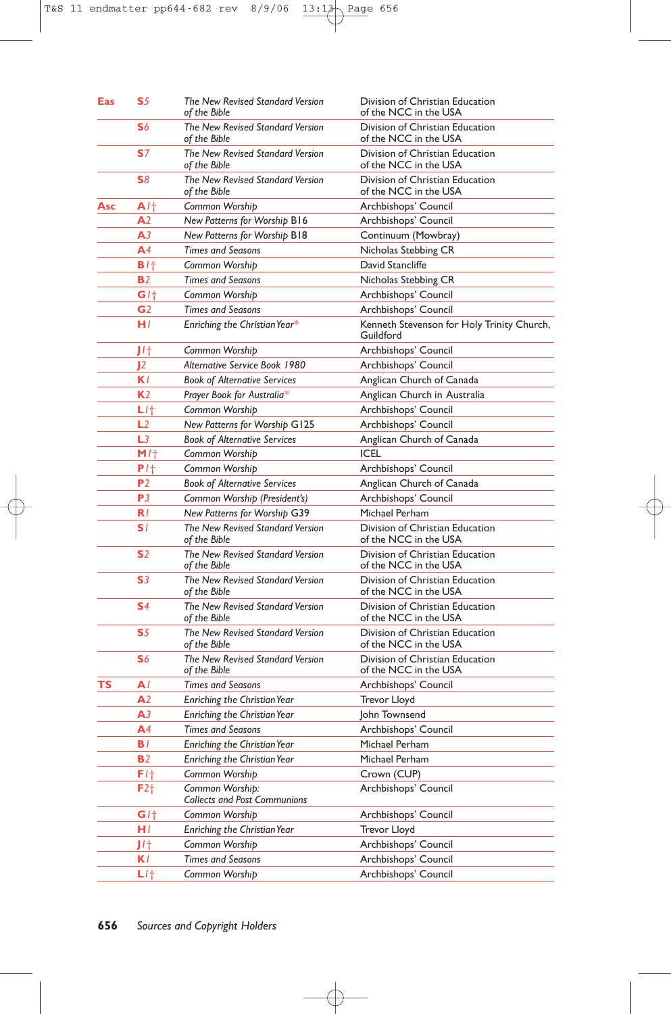| Eas | S <sub>5</sub>  | The New Revised Standard Version<br>of the Bible       | Division of Christian Education<br>of the NCC in the USA |
|-----|-----------------|--------------------------------------------------------|----------------------------------------------------------|
|     | S6              | The New Revised Standard Version<br>of the Bible       | Division of Christian Education<br>of the NCC in the USA |
|     | S <sub>7</sub>  | The New Revised Standard Version<br>of the Bible       | Division of Christian Education<br>of the NCC in the USA |
|     | S8              | The New Revised Standard Version<br>of the Bible       | Division of Christian Education<br>of the NCC in the USA |
| Asc | A/t             | Common Worship                                         | Archbishops' Council                                     |
|     | A <sub>2</sub>  | New Patterns for Worship B16                           | Archbishops' Council                                     |
|     | A <sub>3</sub>  | New Patterns for Worship B18                           | Continuum (Mowbray)                                      |
|     | A <sup>4</sup>  | <b>Times and Seasons</b>                               | Nicholas Stebbing CR                                     |
|     | B/t             | Common Worshib                                         | David Stancliffe                                         |
|     | <b>B</b> 2      | <b>Times and Seasons</b>                               | Nicholas Stebbing CR                                     |
|     | G/t             | Common Worship                                         | Archbishops' Council                                     |
|     | G2              | <b>Times and Seasons</b>                               | Archbishops' Council                                     |
|     | H/              | Enriching the Christian Year*                          | Kenneth Stevenson for Holy Trinity Church,<br>Guildford  |
|     | J/t             | Common Worship                                         | Archbishops' Council                                     |
|     | 12              | Alternative Service Book 1980                          | Archbishops' Council                                     |
|     | K I             | <b>Book of Alternative Services</b>                    | Anglican Church of Canada                                |
|     | K <sub>2</sub>  | Prayer Book for Australia*                             | Anglican Church in Australia                             |
|     | LI†             | Common Worship                                         | Archbishops' Council                                     |
|     | L <sub>2</sub>  | New Patterns for Worship G125                          | Archbishops' Council                                     |
|     | L <sub>3</sub>  | <b>Book of Alternative Services</b>                    | Anglican Church of Canada                                |
|     | M/t             | Common Worship                                         | <b>ICEL</b>                                              |
|     | P/t             | Common Worship                                         | Archbishops' Council                                     |
|     | P2              | <b>Book of Alternative Services</b>                    | Anglican Church of Canada                                |
|     | P3              | Common Worship (President's)                           | Archbishops' Council                                     |
|     | R I             | New Patterns for Worship G39                           | Michael Perham                                           |
|     | S1              | The New Revised Standard Version<br>of the Bible       | Division of Christian Education<br>of the NCC in the USA |
|     | S <sub>2</sub>  | The New Revised Standard Version<br>of the Bible       | Division of Christian Education<br>of the NCC in the USA |
|     | S <sub>3</sub>  | The New Revised Standard Version<br>of the Bible       | Division of Christian Education<br>of the NCC in the USA |
|     | S <sub>4</sub>  | The New Revised Standard Version<br>of the Bible       | Division of Christian Education<br>of the NCC in the USA |
|     | S5              | The New Revised Standard Version<br>of the Bible       | Division of Christian Education<br>of the NCC in the USA |
|     | S6              | The New Revised Standard Version<br>of the Bible       | Division of Christian Education<br>of the NCC in the USA |
| ΤS  | A۱              | <b>Times and Seasons</b>                               | Archbishops' Council                                     |
|     | A2              | Enriching the Christian Year                           | Trevor Lloyd                                             |
|     | А3              | Enriching the Christian Year                           | John Townsend                                            |
|     | A4              | <b>Times and Seasons</b>                               | Archbishops' Council                                     |
|     | B I             | Enriching the Christian Year                           | Michael Perham                                           |
|     | <b>B2</b>       | Enriching the Christian Year                           | Michael Perham                                           |
|     | $F1+$           | Common Worship                                         | Crown (CUP)                                              |
|     | F2 <sub>†</sub> | Common Worship:<br><b>Collects and Post Communions</b> | Archbishops' Council                                     |
|     | GI <sub>1</sub> | Common Worship                                         | Archbishops' Council                                     |
|     | HI.             | Enriching the Christian Year                           | Trevor Lloyd                                             |
|     | J/t             | Common Worship                                         | Archbishops' Council                                     |
|     | K/              | <b>Times and Seasons</b>                               | Archbishops' Council                                     |
|     | $L$ / $\dagger$ | Common Worship                                         | Archbishops' Council                                     |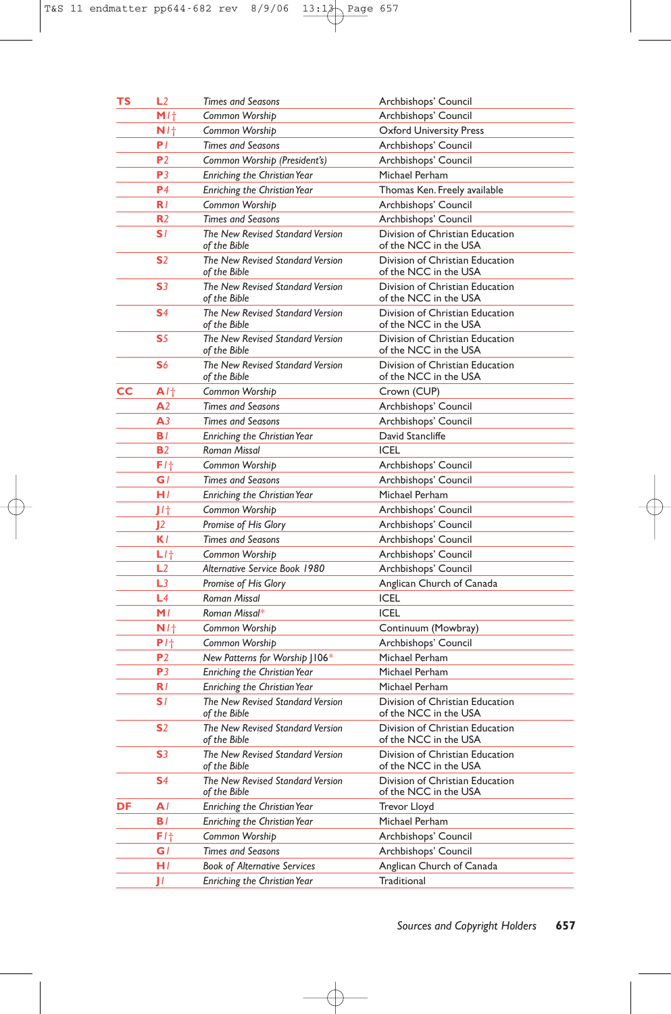| TS | L2                | <b>Times and Seasons</b>                         | Archbishops' Council                                     |
|----|-------------------|--------------------------------------------------|----------------------------------------------------------|
|    | M/t               | Common Worship                                   | Archbishops' Council                                     |
|    | N/t               | Common Worship                                   | <b>Oxford University Press</b>                           |
|    | PI.               | <b>Times and Seasons</b>                         | Archbishops' Council                                     |
|    | P <sub>2</sub>    | Common Worship (President's)                     | Archbishops' Council                                     |
|    | P <sub>3</sub>    | <b>Enriching the Christian Year</b>              | Michael Perham                                           |
|    | P <sub>4</sub>    | <b>Enriching the Christian Year</b>              | Thomas Ken. Freely available                             |
|    | R/                | Common Worship                                   | Archbishops' Council                                     |
|    | R <sub>2</sub>    | <b>Times and Seasons</b>                         | Archbishops' Council                                     |
|    | S1                | The New Revised Standard Version<br>of the Bible | Division of Christian Education<br>of the NCC in the USA |
|    | S <sub>2</sub>    | The New Revised Standard Version<br>of the Bible | Division of Christian Education<br>of the NCC in the USA |
|    | S <sub>3</sub>    | The New Revised Standard Version<br>of the Bible | Division of Christian Education<br>of the NCC in the USA |
|    | S <sub>4</sub>    | The New Revised Standard Version<br>of the Bible | Division of Christian Education<br>of the NCC in the USA |
|    | S <sub>5</sub>    | The New Revised Standard Version<br>of the Bible | Division of Christian Education<br>of the NCC in the USA |
|    | S6                | The New Revised Standard Version<br>of the Bible | Division of Christian Education<br>of the NCC in the USA |
| cс | A/t               | Common Worship                                   | Crown (CUP)                                              |
|    | A <sub>2</sub>    | <b>Times and Seasons</b>                         | Archbishops' Council                                     |
|    | A <sub>3</sub>    | <b>Times and Seasons</b>                         | Archbishops' Council                                     |
|    | BI.               | <b>Enriching the Christian Year</b>              | David Stancliffe                                         |
|    | <b>B2</b>         | <b>Roman Missal</b>                              | <b>ICEL</b>                                              |
|    | F1†               | Common Worship                                   | Archbishops' Council                                     |
|    | G/                | <b>Times and Seasons</b>                         | Archbishops' Council                                     |
|    | H/                | Enriching the Christian Year                     | Michael Perham                                           |
|    | J/t               | Common Worship                                   | Archbishops' Council                                     |
|    | 12 <sup>2</sup>   | Promise of His Glory                             | Archbishops' Council                                     |
|    | K l               | <b>Times and Seasons</b>                         | Archbishops' Council                                     |
|    | $L$ / $\dagger$   | Common Worship                                   | Archbishops' Council                                     |
|    | L2                | Alternative Service Book 1980                    | Archbishops' Council                                     |
|    | L3                | Promise of His Glory                             | Anglican Church of Canada                                |
|    | L4                | Roman Missal                                     | <b>ICEL</b>                                              |
|    | M/                | Roman Missal*                                    | <b>ICEL</b>                                              |
|    | N/t               | Common Worship                                   | Continuum (Mowbray)                                      |
|    | $P1$ <sup>+</sup> | Common Worship                                   | Archbishops' Council                                     |
|    | P <sub>2</sub>    | New Patterns for Worship J106*                   | Michael Perham                                           |
|    | P3                | Enriching the Christian Year                     | Michael Perham                                           |
|    | R I               | Enriching the Christian Year                     | Michael Perham                                           |
|    | S I               | The New Revised Standard Version<br>of the Bible | Division of Christian Education<br>of the NCC in the USA |
|    | S <sub>2</sub>    | The New Revised Standard Version<br>of the Bible | Division of Christian Education<br>of the NCC in the USA |
|    | S <sub>3</sub>    | The New Revised Standard Version<br>of the Bible | Division of Christian Education<br>of the NCC in the USA |
|    | S4                | The New Revised Standard Version<br>of the Bible | Division of Christian Education<br>of the NCC in the USA |
| DF | AI                | Enriching the Christian Year                     | Trevor Lloyd                                             |
|    | B/                | <b>Enriching the Christian Year</b>              | Michael Perham                                           |
|    | $F1$ <sup>+</sup> | Common Worship                                   | Archbishops' Council                                     |
|    | G l               | <b>Times and Seasons</b>                         | Archbishops' Council                                     |
|    | HI.               | <b>Book of Alternative Services</b>              | Anglican Church of Canada                                |
|    | П                 | Enriching the Christian Year                     | Traditional                                              |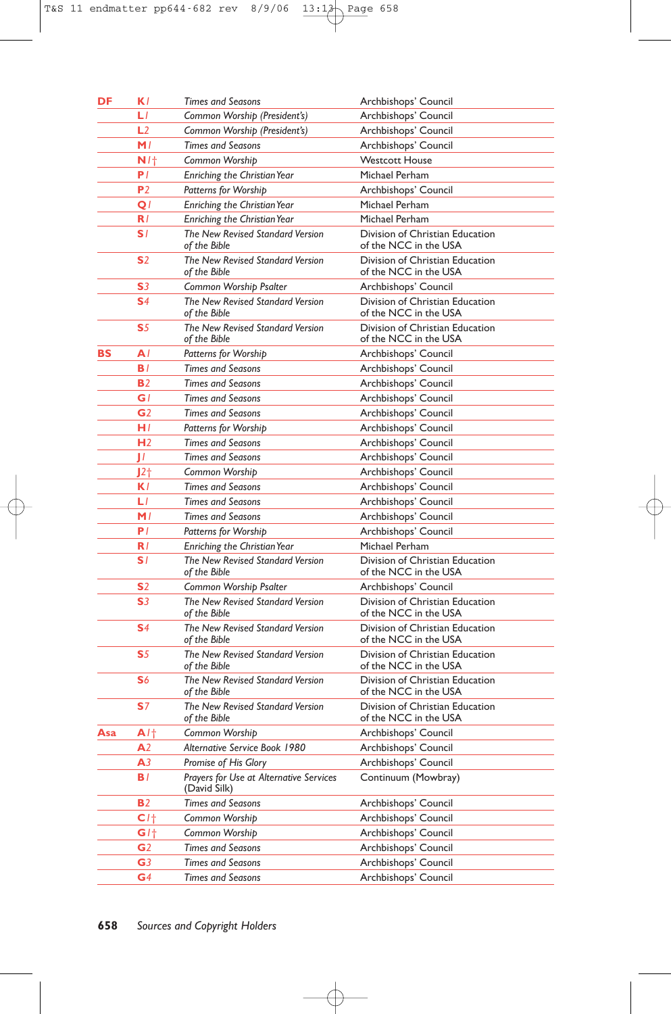| DF  | K l               | <b>Times and Seasons</b>                                | Archbishops' Council                                     |
|-----|-------------------|---------------------------------------------------------|----------------------------------------------------------|
|     | LГ                | Common Worship (President's)                            | Archbishops' Council                                     |
|     | L2                | Common Worship (President's)                            | Archbishops' Council                                     |
|     | M/                | <b>Times and Seasons</b>                                | Archbishops' Council                                     |
|     | N/t               | Common Worship                                          | <b>Westcott House</b>                                    |
|     | P/                | Enriching the Christian Year                            | Michael Perham                                           |
|     | P <sub>2</sub>    | <b>Patterns for Worship</b>                             | Archbishops' Council                                     |
|     | Q                 | Enriching the Christian Year                            | Michael Perham                                           |
|     | R/                | Enriching the Christian Year                            | Michael Perham                                           |
|     | SI.               | The New Revised Standard Version<br>of the Bible        | Division of Christian Education<br>of the NCC in the USA |
|     | S <sub>2</sub>    | The New Revised Standard Version<br>of the Bible        | Division of Christian Education<br>of the NCC in the USA |
|     | S <sub>3</sub>    | Common Worship Psalter                                  | Archbishops' Council                                     |
|     | S <sub>4</sub>    | The New Revised Standard Version<br>of the Bible        | Division of Christian Education<br>of the NCC in the USA |
|     | S <sub>5</sub>    | The New Revised Standard Version<br>of the Bible        | Division of Christian Education<br>of the NCC in the USA |
| BS  | A                 | <b>Patterns for Worship</b>                             | Archbishops' Council                                     |
|     | BI.               | <b>Times and Seasons</b>                                | Archbishops' Council                                     |
|     | <b>B2</b>         | <b>Times and Seasons</b>                                | Archbishops' Council                                     |
|     | G I               | <b>Times and Seasons</b>                                | Archbishops' Council                                     |
|     | G <sub>2</sub>    | <b>Times and Seasons</b>                                | Archbishops' Council                                     |
|     | H/                | <b>Patterns for Worship</b>                             | Archbishops' Council                                     |
|     | H <sub>2</sub>    | <b>Times and Seasons</b>                                | Archbishops' Council                                     |
|     | П                 | <b>Times and Seasons</b>                                | Archbishops' Council                                     |
|     | $12+$             | Common Worship                                          | Archbishops' Council                                     |
|     | K l               | <b>Times and Seasons</b>                                | Archbishops' Council                                     |
|     | LI                | <b>Times and Seasons</b>                                | Archbishops' Council                                     |
|     | M/                | <b>Times and Seasons</b>                                | Archbishops' Council                                     |
|     | P/                | Patterns for Worship                                    | Archbishops' Council                                     |
|     | R/                | <b>Enriching the Christian Year</b>                     | Michael Perham                                           |
|     | S1                | The New Revised Standard Version<br>of the Bible        | Division of Christian Education<br>of the NCC in the USA |
|     | S <sub>2</sub>    | Common Worship Psalter                                  | Archbishops' Council                                     |
|     | S <sub>3</sub>    | The New Revised Standard Version<br>of the Bible        | Division of Christian Education<br>of the NCC in the USA |
|     | S4                | The New Revised Standard Version<br>of the Bible        | Division of Christian Education<br>of the NCC in the USA |
|     | S <sub>5</sub>    | The New Revised Standard Version<br>of the Bible        | Division of Christian Education<br>of the NCC in the USA |
|     | S6                | The New Revised Standard Version<br>of the Bible        | Division of Christian Education<br>of the NCC in the USA |
|     | S7                | The New Revised Standard Version<br>of the Bible        | Division of Christian Education<br>of the NCC in the USA |
| Asa | $A$ / $\dagger$   | Common Worship                                          | Archbishops' Council                                     |
|     | A <sub>2</sub>    | Alternative Service Book 1980                           | Archbishops' Council                                     |
|     | A <sub>3</sub>    | Promise of His Glory                                    | Archbishops' Council                                     |
|     | BI.               | Prayers for Use at Alternative Services<br>(David Silk) | Continuum (Mowbray)                                      |
|     | <b>B2</b>         | <b>Times and Seasons</b>                                | Archbishops' Council                                     |
|     | $C1$ <sup>+</sup> | Common Worship                                          | Archbishops' Council                                     |
|     | $GI+$             | Common Worship                                          | Archbishops' Council                                     |
|     | G <sub>2</sub>    | <b>Times and Seasons</b>                                | Archbishops' Council                                     |
|     | G3                | <b>Times and Seasons</b>                                | Archbishops' Council                                     |
|     | G4                | <b>Times and Seasons</b>                                | Archbishops' Council                                     |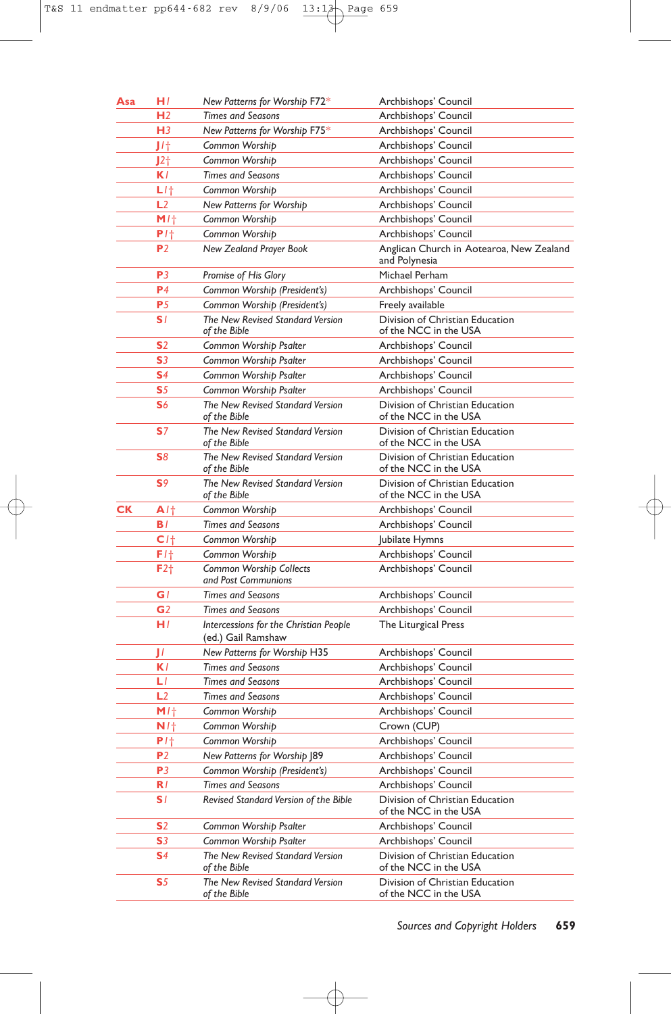| Asa | HI                | New Patterns for Worship F72*                                     | Archbishops' Council                                      |
|-----|-------------------|-------------------------------------------------------------------|-----------------------------------------------------------|
|     | H <sub>2</sub>    | <b>Times and Seasons</b>                                          | Archbishops' Council                                      |
|     | H <sub>3</sub>    | New Patterns for Worship F75*                                     | Archbishops' Council                                      |
|     | J/t               | Common Worship                                                    | Archbishops' Council                                      |
|     | J2†               | Common Worship                                                    | Archbishops' Council                                      |
|     | K l               | <b>Times and Seasons</b>                                          | Archbishops' Council                                      |
|     | $L$ /†            | Common Worship                                                    | Archbishops' Council                                      |
|     | L2                | New Patterns for Worship                                          | Archbishops' Council                                      |
|     | $M1$ <sup>+</sup> | Common Worship                                                    | Archbishops' Council                                      |
|     | $P1$ <sup>+</sup> | Common Worship                                                    | Archbishops' Council                                      |
|     | P <sub>2</sub>    | New Zealand Prayer Book                                           | Anglican Church in Aotearoa, New Zealand<br>and Polynesia |
|     | P <sub>3</sub>    | Promise of His Glory                                              | Michael Perham                                            |
|     | P <sub>4</sub>    | Common Worship (President's)                                      | Archbishops' Council                                      |
|     | P <sub>5</sub>    | Common Worship (President's)                                      | Freely available                                          |
|     | S1                | The New Revised Standard Version<br>of the Bible                  | Division of Christian Education<br>of the NCC in the USA  |
|     | S <sub>2</sub>    | Common Worship Psalter                                            | Archbishops' Council                                      |
|     | S3                | Common Worship Psalter                                            | Archbishops' Council                                      |
|     | S <sub>4</sub>    | Common Worship Psalter                                            | Archbishops' Council                                      |
|     | S <sub>5</sub>    | Common Worship Psalter                                            | Archbishops' Council                                      |
|     | S6                | The New Revised Standard Version<br>of the Bible                  | Division of Christian Education<br>of the NCC in the USA  |
|     | S <sub>7</sub>    | The New Revised Standard Version<br>of the Bible                  | Division of Christian Education<br>of the NCC in the USA  |
|     | S <sub>8</sub>    | The New Revised Standard Version<br>of the Bible                  | Division of Christian Education<br>of the NCC in the USA  |
|     | S <sub>9</sub>    | The New Revised Standard Version<br>of the Bible                  | Division of Christian Education<br>of the NCC in the USA  |
| СK  | A/t               | Common Worship                                                    | Archbishops' Council                                      |
|     | B/                | <b>Times and Seasons</b>                                          | Archbishops' Council                                      |
|     | C <sub>1</sub>    | Common Worship                                                    | Jubilate Hymns                                            |
|     | F/t               | Common Worship                                                    | Archbishops' Council                                      |
|     | F2 <sub>†</sub>   | <b>Common Worship Collects</b><br>and Post Communions             | Archbishops' Council                                      |
|     | G l               | <b>Times and Seasons</b>                                          | Archbishops' Council                                      |
|     | G <sub>2</sub>    | <b>Times and Seasons</b>                                          | Archbishops' Council                                      |
|     | H/                | Intercessions for the Christian People<br>(ed.) Gail Ramshaw      | The Liturgical Press                                      |
|     | П                 | New Patterns for Worship H35                                      | Archbishops' Council                                      |
|     | K l               | <b>Times and Seasons</b>                                          | Archbishops' Council                                      |
|     | L1                | <b>Times and Seasons</b>                                          | Archbishops' Council                                      |
|     | L2                | <b>Times and Seasons</b>                                          | Archbishops' Council                                      |
|     | M/t               | Common Worship                                                    | Archbishops' Council                                      |
|     | N/t               | Common Worship                                                    | Crown (CUP)                                               |
|     | $P1$ <sup>+</sup> | Common Worship                                                    | Archbishops' Council                                      |
|     | P <sub>2</sub>    | New Patterns for Worship J89                                      | Archbishops' Council                                      |
|     | P <sub>3</sub>    | Common Worship (President's)                                      | Archbishops' Council                                      |
|     | R/<br>SI.         | <b>Times and Seasons</b><br>Revised Standard Version of the Bible | Archbishops' Council<br>Division of Christian Education   |
|     |                   |                                                                   | of the NCC in the USA                                     |
|     | S <sub>2</sub>    | Common Worship Psalter                                            | Archbishops' Council                                      |
|     | S <sub>3</sub>    | Common Worship Psalter                                            | Archbishops' Council                                      |
|     | S4                | The New Revised Standard Version<br>of the Bible                  | Division of Christian Education<br>of the NCC in the USA  |
|     | S5                | The New Revised Standard Version<br>of the Bible                  | Division of Christian Education<br>of the NCC in the USA  |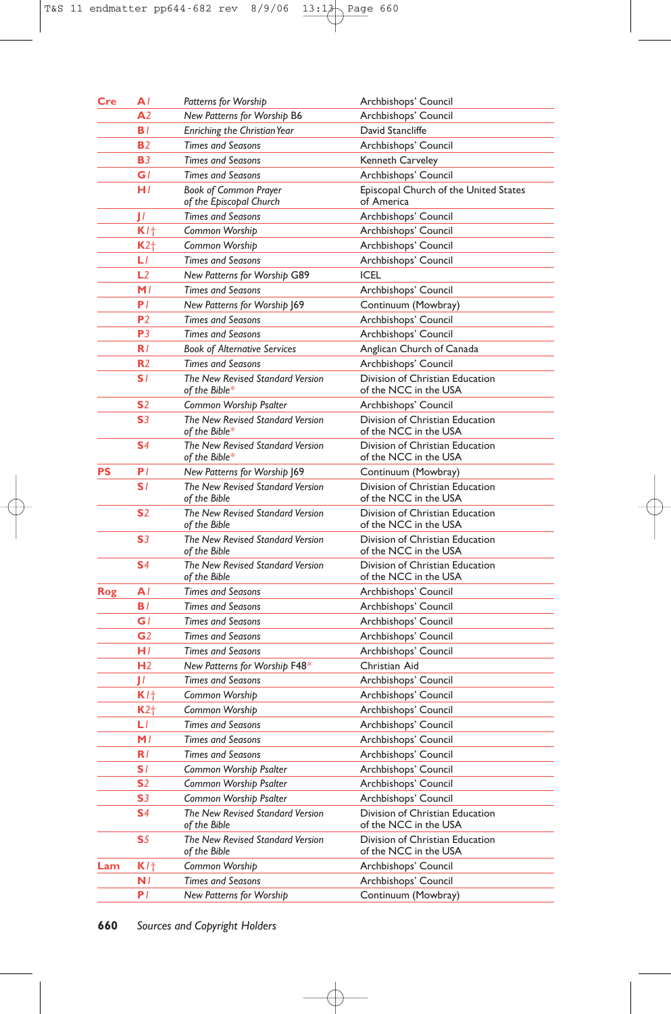| <b>Cre</b> | A1             | Patterns for Worship                                    | Archbishops' Council                                     |
|------------|----------------|---------------------------------------------------------|----------------------------------------------------------|
|            | A <sub>2</sub> | New Patterns for Worship B6                             | Archbishops' Council                                     |
|            | B/             | Enriching the Christian Year                            | David Stancliffe                                         |
|            | <b>B2</b>      | <b>Times and Seasons</b>                                | Archbishops' Council                                     |
|            | <b>B3</b>      | <b>Times and Seasons</b>                                | Kenneth Carveley                                         |
|            | GI             | <b>Times and Seasons</b>                                | Archbishops' Council                                     |
|            | H/             | <b>Book of Common Prayer</b><br>of the Episcopal Church | Episcopal Church of the United States<br>of America      |
|            | П              | <b>Times and Seasons</b>                                | Archbishops' Council                                     |
|            | K/t            | Common Worship                                          | Archbishops' Council                                     |
|            | $K2+$          | Common Worship                                          | Archbishops' Council                                     |
|            | LГ             | <b>Times and Seasons</b>                                | Archbishops' Council                                     |
|            | L <sub>2</sub> | New Patterns for Worship G89                            | <b>ICEL</b>                                              |
|            | M/             | <b>Times and Seasons</b>                                | Archbishops' Council                                     |
|            | P/             | New Patterns for Worship J69                            | Continuum (Mowbray)                                      |
|            | P <sub>2</sub> | <b>Times and Seasons</b>                                | Archbishops' Council                                     |
|            | P <sub>3</sub> | <b>Times and Seasons</b>                                | Archbishops' Council                                     |
|            | R/             | <b>Book of Alternative Services</b>                     | Anglican Church of Canada                                |
|            | R <sub>2</sub> | <b>Times and Seasons</b>                                | Archbishops' Council                                     |
|            | SI.            | The New Revised Standard Version<br>of the Bible*       | Division of Christian Education<br>of the NCC in the USA |
|            | <b>S</b> 2     | Common Worship Psalter                                  | Archbishops' Council                                     |
|            | S <sub>3</sub> | The New Revised Standard Version                        | Division of Christian Education                          |
|            |                | of the Bible $^\ast$                                    | of the NCC in the USA                                    |
|            | S <sub>4</sub> | The New Revised Standard Version<br>of the Bible*       | Division of Christian Education<br>of the NCC in the USA |
| PS         | P <sub>1</sub> | New Patterns for Worship J69                            | Continuum (Mowbray)                                      |
|            | S1             | The New Revised Standard Version<br>of the Bible        | Division of Christian Education<br>of the NCC in the USA |
|            | S <sub>2</sub> | The New Revised Standard Version<br>of the Bible        | Division of Christian Education<br>of the NCC in the USA |
|            | S <sub>3</sub> | The New Revised Standard Version<br>of the Bible        | Division of Christian Education<br>of the NCC in the USA |
|            | S <sub>4</sub> | The New Revised Standard Version<br>of the Bible        | Division of Christian Education<br>of the NCC in the USA |
| Rog        | A              | <b>Times and Seasons</b>                                | Archbishops' Council                                     |
|            | B/             | <b>Times and Seasons</b>                                | Archbishops' Council                                     |
|            | G l            | <b>Times and Seasons</b>                                | Archbishops' Council                                     |
|            | G <sub>2</sub> | <b>Times and Seasons</b>                                | Archbishops' Council                                     |
|            | HI             | <b>Times and Seasons</b>                                | Archbishops' Council                                     |
|            | H <sub>2</sub> | New Patterns for Worship F48*                           | Christian Aid                                            |
|            | П              | <b>Times and Seasons</b>                                | Archbishops' Council                                     |
|            | $K$ / $+$      | Common Worship                                          | Archbishops' Council                                     |
|            | $K2+$          | Common Worship                                          | Archbishops' Council                                     |
|            | LI             | <b>Times and Seasons</b>                                | Archbishops' Council                                     |
|            | M/             | <b>Times and Seasons</b>                                | Archbishops' Council                                     |
|            | R/             | <b>Times and Seasons</b>                                | Archbishops' Council                                     |
|            | SI.            | Common Worship Psalter                                  | Archbishops' Council                                     |
|            | S <sub>2</sub> | Common Worship Psalter                                  | Archbishops' Council                                     |
|            | S3             | Common Worship Psalter                                  | Archbishops' Council                                     |
|            | S <sub>4</sub> | The New Revised Standard Version<br>of the Bible        | Division of Christian Education<br>of the NCC in the USA |
|            | S5             | The New Revised Standard Version<br>of the Bible        | Division of Christian Education<br>of the NCC in the USA |
| Lam        | K/t            | Common Worship                                          | Archbishops' Council                                     |
|            | N/             | <b>Times and Seasons</b>                                | Archbishops' Council                                     |
|            | P I            | <b>New Patterns for Worship</b>                         | Continuum (Mowbray)                                      |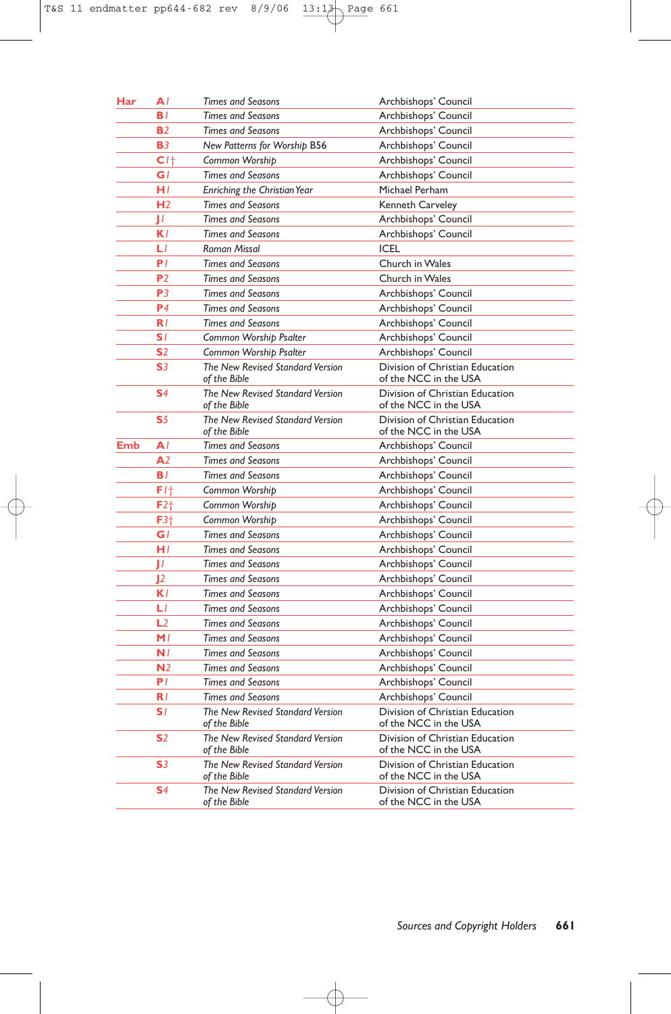| Har | ΑI              | <b>Times and Seasons</b>                         | Archbishops' Council                                     |
|-----|-----------------|--------------------------------------------------|----------------------------------------------------------|
|     | BI.             | <b>Times and Seasons</b>                         | Archbishops' Council                                     |
|     | <b>B2</b>       | <b>Times and Seasons</b>                         | Archbishops' Council                                     |
|     | <b>B3</b>       | New Patterns for Worship B56                     | Archbishops' Council                                     |
|     | C1 <sub>1</sub> | Common Worship                                   | Archbishops' Council                                     |
|     | G I             | <b>Times and Seasons</b>                         | Archbishops' Council                                     |
|     | H/              | Enriching the Christian Year                     | Michael Perham                                           |
|     | H <sub>2</sub>  | <b>Times and Seasons</b>                         | Kenneth Carveley                                         |
|     | П               | <b>Times and Seasons</b>                         | Archbishops' Council                                     |
|     | K l             | <b>Times and Seasons</b>                         | Archbishops' Council                                     |
|     | LI              | <b>Roman Missal</b>                              | <b>ICEL</b>                                              |
|     | P/              | <b>Times and Seasons</b>                         | Church in Wales                                          |
|     | P <sub>2</sub>  | <b>Times and Seasons</b>                         | Church in Wales                                          |
|     | P <sub>3</sub>  | <b>Times and Seasons</b>                         | Archbishops' Council                                     |
|     | P <sub>4</sub>  | <b>Times and Seasons</b>                         | Archbishops' Council                                     |
|     | R/              | <b>Times and Seasons</b>                         | Archbishops' Council                                     |
|     | SI.             | Common Worship Psalter                           | Archbishops' Council                                     |
|     | S <sub>2</sub>  | Common Worship Psalter                           | Archbishops' Council                                     |
|     | S <sub>3</sub>  | The New Revised Standard Version<br>of the Bible | Division of Christian Education<br>of the NCC in the USA |
|     | S <sub>4</sub>  | The New Revised Standard Version<br>of the Bible | Division of Christian Education<br>of the NCC in the USA |
|     | S <sub>5</sub>  | The New Revised Standard Version<br>of the Bible | Division of Christian Education<br>of the NCC in the USA |
| Emb | AI              | <b>Times and Seasons</b>                         | Archbishops' Council                                     |
|     | A <sub>2</sub>  | <b>Times and Seasons</b>                         | Archbishops' Council                                     |
|     | BI.             | <b>Times and Seasons</b>                         | Archbishops' Council                                     |
|     | F1†             | Common Worship                                   | Archbishops' Council                                     |
|     | F2 <sub>†</sub> | Common Worship                                   | Archbishops' Council                                     |
|     | F3 <sub>†</sub> | Common Worship                                   | Archbishops' Council                                     |
|     | G l             | <b>Times and Seasons</b>                         | Archbishops' Council                                     |
|     | H/              | <b>Times and Seasons</b>                         | Archbishops' Council                                     |
|     | П               | <b>Times and Seasons</b>                         | Archbishops' Council                                     |
|     | J2              | <b>Times and Seasons</b>                         | Archbishops' Council                                     |
|     | K/              | <b>Times and Seasons</b>                         | Archbishops' Council                                     |
|     | LГ              | <b>Times and Seasons</b>                         | Archbishops' Council                                     |
|     | L2              | <b>Times and Seasons</b>                         | Archbishops' Council                                     |
|     | M/              | <b>Times and Seasons</b>                         | Archbishops' Council                                     |
|     | N/              | <b>Times and Seasons</b>                         | Archbishops' Council                                     |
|     | N <sub>2</sub>  | <b>Times and Seasons</b>                         | Archbishops' Council                                     |
|     | P/              | <b>Times and Seasons</b>                         | Archbishops' Council                                     |
|     | R/              | <b>Times and Seasons</b>                         | Archbishops' Council                                     |
|     | SI.             | The New Revised Standard Version<br>of the Bible | Division of Christian Education<br>of the NCC in the USA |
|     | S <sub>2</sub>  | The New Revised Standard Version<br>of the Bible | Division of Christian Education<br>of the NCC in the USA |
|     | S3              | The New Revised Standard Version<br>of the Bible | Division of Christian Education<br>of the NCC in the USA |
|     | S4              | The New Revised Standard Version<br>of the Bible | Division of Christian Education<br>of the NCC in the USA |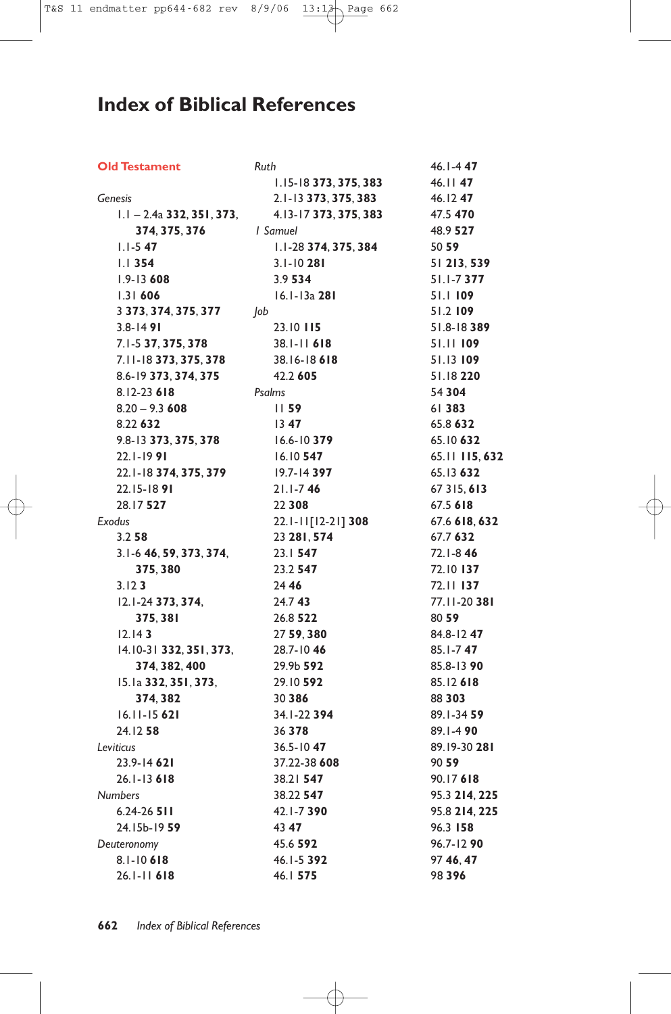## **Index of Biblical References**

| <b>Old Testament</b>        | Ruth                      | $46.1 - 447$   |
|-----------------------------|---------------------------|----------------|
|                             | $1.15 - 18$ 373, 375, 383 | 46.1147        |
| Genesis                     | 2.1-13 373, 375, 383      | 46.1247        |
| $1.1 - 2.4a$ 332, 351, 373, | 4.13-17 373, 375, 383     | 47.5 470       |
| 374, 375, 376               | <i>I</i> Samuel           | 48.9 527       |
| $1.1 - 5.47$                | 1.1-28 374, 375, 384      | 50 59          |
| $1.1$ 354                   | $3.1 - 10281$             | 51 213, 539    |
| $1.9 - 13608$               | 3.9 534                   | $51.1 - 7377$  |
| 1.31606                     | 16.1-13a 281              | 51.1109        |
| 3 373, 374, 375, 377        | Job                       | 51.2109        |
| $3.8 - 1491$                | 23.10 115                 | $51.8 - 18389$ |
| 7.1-5 37, 375, 378          | $38.1 - 11$ 618           | 51.11 109      |
| 7.11-18 373, 375, 378       | 38.16-18 618              | 51.13 109      |
| 8.6-19 373, 374, 375        | 42.2 605                  | 51.18220       |
| $8.12 - 23618$              | Psalms                    | 54 304         |
| $8.20 - 9.3608$             | 1159                      | 61 383         |
| 8.22 632                    | 1347                      | 65.8 632       |
| 9.8-13 373, 375, 378        | $16.6 - 10379$            | 65.10 632      |
| $22.1 - 1991$               | $16.10$ 547               | 65.11 115, 632 |
| 22.1-18 374, 375, 379       | $19.7 - 14397$            | 65.13 632      |
| 22.15-1891                  | $21.1 - 746$              | 67 315, 613    |
| 28.17 527                   | 22 3 0 8                  | 67.5 618       |
| Exodus                      | 22.1-11[12-21] 308        | 67.6 618, 632  |
| 3.258                       | 23 281, 574               | 67.7 632       |
| 3.1-6 46, 59, 373, 374,     | 23.1 547                  | 72.I-846       |
| 375,380                     | 23.2 547                  | 72.10 137      |
| 3.123                       | 24 46                     | 72.11 137      |
| 12.1-24 373, 374,           | 24.743                    | 77.11-20 381   |
| 375,381                     | 26.8 522                  | 80 59          |
| 12.143                      | 27 59, 380                | 84.8-1247      |
| 14.10-31 332, 351, 373,     | 28.7-1046                 | 85.1-747       |
| 374, 382, 400               | 29.9b 592                 | 85.8-13 90     |
| 15.1a 332, 351, 373,        | 29.10 592                 | 85.12618       |
| 374, 382                    | 30 386                    | 88 303         |
| 16.11-15 621                | 34.1-22 394               | 89.1-34 59     |
| 24.12 58                    | 36 3 78                   | $89.1 - 490$   |
| Leviticus                   | $36.5 - 1047$             | 89.19-30 281   |
| 23.9-14 621                 | 37.22-38 608              | 90 59          |
| $26.1 - 13618$              | 38.21 547                 | 90.17618       |
| <b>Numbers</b>              | 38.22 547                 | 95.3 214, 225  |
| $6.24 - 26$ 511             | 42.1-7390                 | 95.8 214, 225  |
| 24.15b-19 59                | 43 47                     | 96.3 158       |
| Deuteronomy                 | 45.6 592                  | 96.7-1290      |
| 8.1-10618                   | 46.1-5 392                | 97 46, 47      |
| $26.1 - 11$ 618             | 46.1 575                  | 98396          |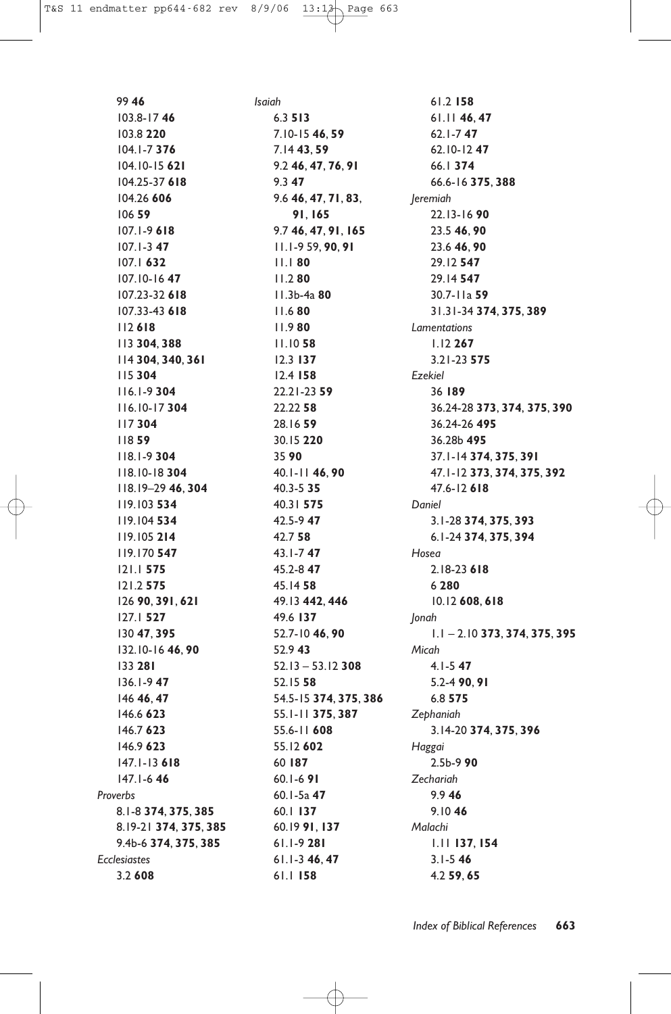99 **46** 103.8-17 **46** 103.8 **220** 104.1-7 **376** 104.10-15 **621** 104.25-37 **618** 104.26 **606** 106 **59** 107.1-9 **618** 107.1-3 **47** 107.1 **632** 107.10-16 **47** 107.23-32 **618** 107.33-43 **618** 112 **618** 113 **304**, **388** 114 **304**, **340**, **361** 115 **304** 116.1-9 **304** 116.10-17 **304** 117 **304** 118 **59** 118.1-9 **304** 118.10-18 **304** 118.19–29 **46**, **304** 119.103 **534** 119.104 **534** 119.105 **214** 119.170 **547** 121.1 **575** 121.2 **575** 126 **90**, **391**, **621** 127.1 **527** 130 **47**, **395** 132.10-16 **46**, **90** 133 **281** 136.1-9 **47** 146 **46**, **47** 146.6 **623** 146.7 **623** 146.9 **623** 147.1-13 **618** 147.1-6 **46** *Proverbs* 8.1-8 **374**, **375**, **385** 8.19-21 **374**, **375**, **385** 9.4b-6 **374**, **375**, **385** *Ecclesiastes* 3.2 **608**

*Isaiah* 6.3 **513** 7.10-15 **46**, **59** 7.14 **43**, **59** 9.2 **46**, **47**, **76**, **91** 9.3 **47** 9.6 **46**, **47**, **71**, **83**, **91**, **165** 9.7 **46**, **47**, **91**, **165** 11.1-9 59, **90**, **91** 11.1 **80** 11.2 **80** 11.3b-4a **80** 11.6 **80** 11.9 **80** 11.10 **58** 12.3 **137** 12.4 **158** 22.21-23 **59** 22.22 **58** 28.16 **59** 30.15 **220** 35 **90** 40.1-11 **46**, **90** 40.3-5 **35** 40.31 **575** 42.5-9 **47** 42.7 **58** 43.1-7 **47** 45.2-8 **47** 45.14 **58** 49.13 **442**, **446** 49.6 **137** 52.7-10 **46**, **90** 52.9 **43** 52.13 – 53.12 **308** 52.15 **58** 54.5-15 **374**, **375**, **386** 55.1-11 **375**, **387** 55.6-11 **608** 55.12 **602** 60 **187** 60.1-6 **91** 60.1-5a **47** 60.1 **137** 60.19 **91**, **137** 61.1-9 **281** 61.1-3 **46**, **47** 61.1 **158**

61.2 **158** 61.11 **46**, **47** 62.1-7 **47** 62.10-12 **47** 66.1 **374** 66.6-16 **375**, **388** *Jeremiah* 22.13-16 **90** 23.5 **46**, **90** 23.6 **46**, **90** 29.12 **547** 29.14 **547** 30.7-11a **59** 31.31-34 **374**, **375**, **389** *Lamentations* 1.12 **267** 3.21-23 **575** *Ezekiel* 36 **189** 36.24-28 **373**, **374**, **375**, **390** 36.24-26 **495** 36.28b **495** 37.1-14 **374**, **375**, **391** 47.1-12 **373**, **374**, **375**, **392** 47.6-12 **618** *Daniel* 3.1-28 **374**, **375**, **393** 6.1-24 **374**, **375**, **394** *Hosea* 2.18-23 **618** 6 **280** 10.12 **608**, **618** *Jonah* 1.1 – 2.10 **373**, **374**, **375**, **395** *Micah* 4.1-5 **47** 5.2-4 **90**, **91** 6.8 **575** *Zephaniah* 3.14-20 **374**, **375**, **396** *Haggai* 2.5b-9 **90** *Zechariah* 9.9 **46** 9.10 **46** *Malachi* 1.11 **137**, **154** 3.1-5 **46** 4.2 **59**, **65**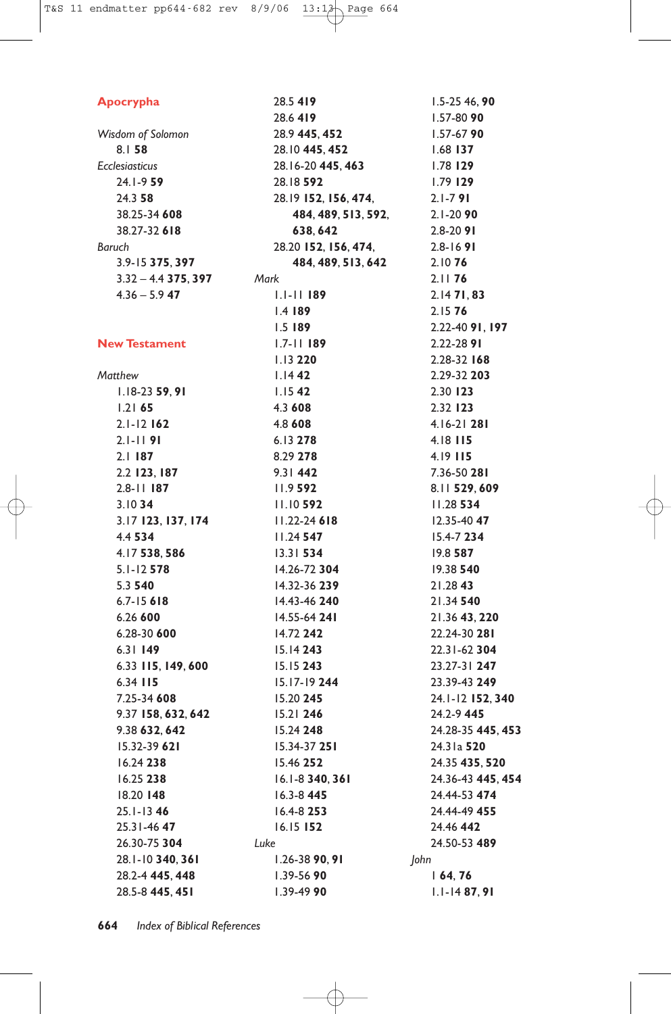| Apocrypha             | 28.5419              |      |
|-----------------------|----------------------|------|
|                       | 28.6419              |      |
| Wisdom of Solomon     | 28.9 445, 452        |      |
| 8.158                 | 28.10 445, 452       |      |
| <b>Ecclesiasticus</b> | 28.16-20 445, 463    |      |
| 24.1-9.59             | 28.18 592            |      |
| 24.358                | 28.19 152, 156, 474, |      |
| 38.25-34 608          | 484, 489, 513, 592,  |      |
| 38.27-32 618          | 638, 642             |      |
| Baruch                | 28.20 152, 156, 474, |      |
| 3.9-15 375, 397       | 484, 489, 513, 642   |      |
| $3.32 - 4.4$ 375, 397 | Mark                 |      |
| $4.36 - 5.9$ 47       | $1.1 - 11$ 189       |      |
|                       | $1.4$ 189            |      |
|                       | $1.5$ 189            |      |
| <b>New Testament</b>  | $1.7 - 11$ 189       |      |
|                       | 1.13220              |      |
| Matthew               | $1.14$ 42            |      |
| $1.18-23$ 59, 91      | $1.15$ 42            |      |
| 1.2165                | 4.3 608              |      |
| $2.1 - 12$ 162        | 4.8 608              |      |
| $2.1 - 1191$          | $6.13$ 278           |      |
| $2.1$ 187             | 8.29 278             |      |
| 2.2 123, 187          | $9.31$ 442           |      |
| $2.8 - 11$ 187        | 11.9592              |      |
| 3.1034                | $11.10$ 592          |      |
| 3.17 123, 137, 174    | $11.22 - 24618$      |      |
| 4.4 534               | $11.24$ 547          |      |
| 4.17 538, 586         | $13.31$ 534          |      |
| $5.1 - 12$ 578        | 14.26-72 304         |      |
| 5.3 540               | 14.32-36 239         |      |
| $6.7 - 15618$         | 14.43-46 240         |      |
| 6.26 600              | 14.55-64 241         |      |
| 6.28-30 600           | 14.72 242            |      |
| 6.31149               | $15.14$ 243          |      |
| 6.33 115, 149, 600    | 15.15243             |      |
| 6.34 115              | $15.17 - 19244$      |      |
| 7.25-34 608           | 15.20 245            |      |
| 9.37 158, 632, 642    | $15.21$ 246          |      |
| 9.38 632, 642         | 15.24 248            |      |
| 15.32-39 621          | 15.34-37 251         |      |
| $16.24$ 238           | 15.46 252            |      |
| 16.25 238             | 16.1-8 340, 361      |      |
| 18.20 148             | 16.3-8 445           |      |
| 25.1-1346             | $16.4 - 8253$        |      |
| 25.31-4647            | $16.15$ 152          |      |
| 26.30-75 304          | Luke                 |      |
| 28.1-10 340, 361      | 1.26-38 90.91        | John |
| 28.2-4 445, 448       | 1.39-56 90           |      |
| 28.5-8 445, 451       | 1.39-49 90           |      |

1.5-25 46, **90** 1.57-80 **90** 1.57-67 **90** 1.68 **137** 1.78 **129** 1.79 **129** 2.1-7 **91** 2.1-20 **90** 2.8-20 **91** 2.8-16 **91** 2.10 **76** 2.11 **76** 2.14 **71**, **83** 2.15 **76** 2.22-40 **91**, **197** 2.22-28 **91** 2.28-32 **168** 2.29-32 **203** 2.30 **123** 2.32 **123** 4.16-21 **281** 4.18 **115** 4.19 **115** 7.36-50 **281** 8.11 **529**, **609** 11.28 **534** 12.35-40 **47** 15.4-7 **234** 19.8 **587** 19.38 **540** 21.28 **43** 21.34 **540** 21.36 **43**, **220** 22.24-30 **281** 22.31-62 **304** 23.27-31 **247** 23.39-43 **249** 24.1-12 **152**, **340** 24.2-9 **445** 24.28-35 **445**, **453** 24.31a **520** 24.35 **435**, **520** 24.36-43 **445**, **454** 24.44-53 **474** 24.44-49 **455** 24.46 **442** 24.50-53 **489**

1 **64**, **76** 1.1-14 **87**, **91**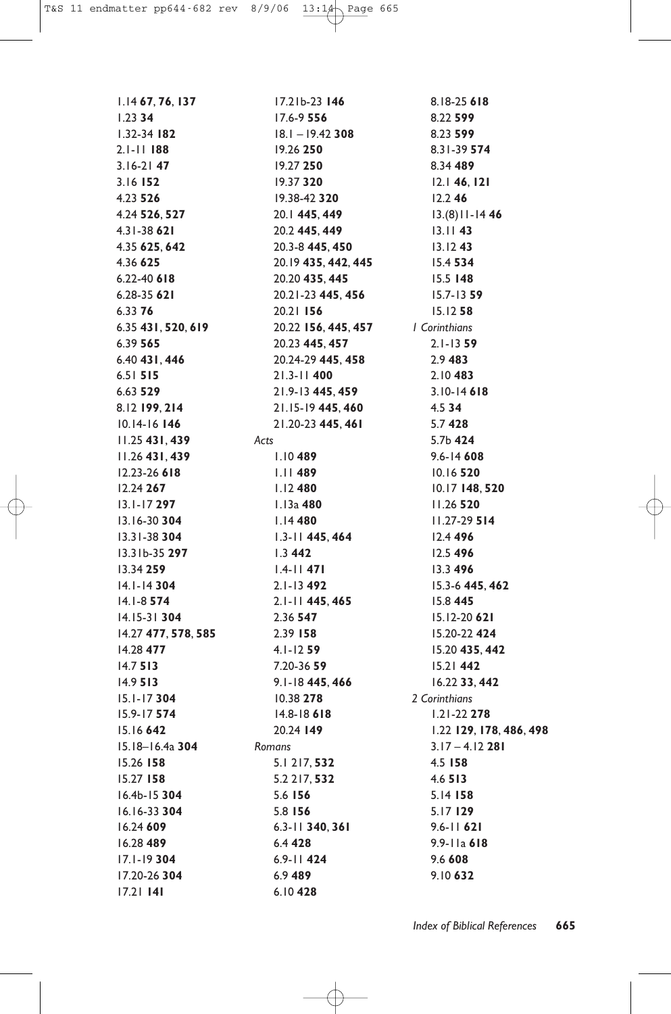1.14 **67**, **76**, **137** 1.23 **34** 1.32-34 **182** 2.1-11 **188** 3.16-21 **47** 3.16 **152** 4.23 **526** 4.24 **526**, **527** 4.31-38 **621** 4.35 **625**, **642** 4.36 **625** 6.22-40 **618** 6.28-35 **621** 6.33 **76** 6.35 **431**, **520**, **619** 6.39 **565** 6.40 **431**, **446** 6.51 **515** 6.63 **529** 8.12 **199**, **214** 10.14-16 **146** 11.25 **431**, **439** 11.26 **431**, **439** 12.23-26 **618** 12.24 **267** 13.1-17 **297** 13.16-30 **304** 13.31-38 **304** 13.31b-35 **297** 13.34 **259** 14.1-14 **304** 14.1-8 **574** 14.15-31 **304** 14.27 **477**, **578**, **585** 14.28 **477** 14.7 **513** 14.9 **513** 15.1-17 **304** 15.9-17 **574** 15.16 **642** 15.18–16.4a **304** 15.26 **158** 15.27 **158** 16.4b-15 **304** 16.16-33 **304** 16.24 **609** 16.28 **489** 17.1-19 **304** 17.20-26 **304** 17.21 **141**

17.21b-23 **146** 17.6-9 **556** 18.1 – 19.42 **308** 19.26 **250** 19.27 **250** 19.37 **320** 19.38-42 **320** 20.1 **445**, **449** 20.2 **445**, **449** 20.3-8 **445**, **450** 20.19 **435**, **442**, **445** 20.20 **435**, **445** 20.21-23 **445**, **456** 20.21 **156** 20.22 **156**, **445**, **457** 20.23 **445**, **457** 20.24-29 **445**, **458** 21.3-11 **400** 21.9-13 **445**, **459** 21.15-19 **445**, **460** 21.20-23 **445**, **461** *Acts* 1.10 **489** 1.11 **489** 1.12 **480** 1.13a **480** 1.14 **480** 1.3-11 **445**, **464** 1.3 **442** 1.4-11 **471** 2.1-13 **492** 2.1-11 **445**, **465** 2.36 **547** 2.39 **158** 4.1-12 **59** 7.20-36 **59** 9.1-18 **445**, **466** 10.38 **278** 14.8-18 **618** 20.24 **149** *Romans* 5.1 217, **532** 5.2 217, **532** 5.6 **156** 5.8 **156** 6.3-11 **340**, **361** 6.4 **428** 6.9-11 **424** 6.9 **489** 6.10 **428**

8.18-25 **618** 8.22 **599** 8.23 **599** 8.31-39 **574** 8.34 **489** 12.1 **46**, **121** 12.2 **46** 13.(8)11-14 **46** 13.11 **43** 13.12 **43** 15.4 **534** 15.5 **148** 15.7-13 **59** 15.12 **58** *1 Corinthians* 2.1-13 **59** 2.9 **483** 2.10 **483** 3.10-14 **618** 4.5 **34** 5.7 **428** 5.7b **424** 9.6-14 **608** 10.16 **520** 10.17 **148**, **520** 11.26 **520** 11.27-29 **514** 12.4 **496** 12.5 **496** 13.3 **496** 15.3-6 **445**, **462** 15.8 **445** 15.12-20 **621** 15.20-22 **424** 15.20 **435**, **442** 15.21 **442** 16.22 **33**, **442** *2 Corinthians* 1.21-22 **278** 1.22 **129**, **178**, **486**, **498** 3.17 – 4.12 **281** 4.5 **158** 4.6 **513** 5.14 **158** 5.17 **129** 9.6-11 **621** 9.9-11a **618** 9.6 **608** 9.10 **632**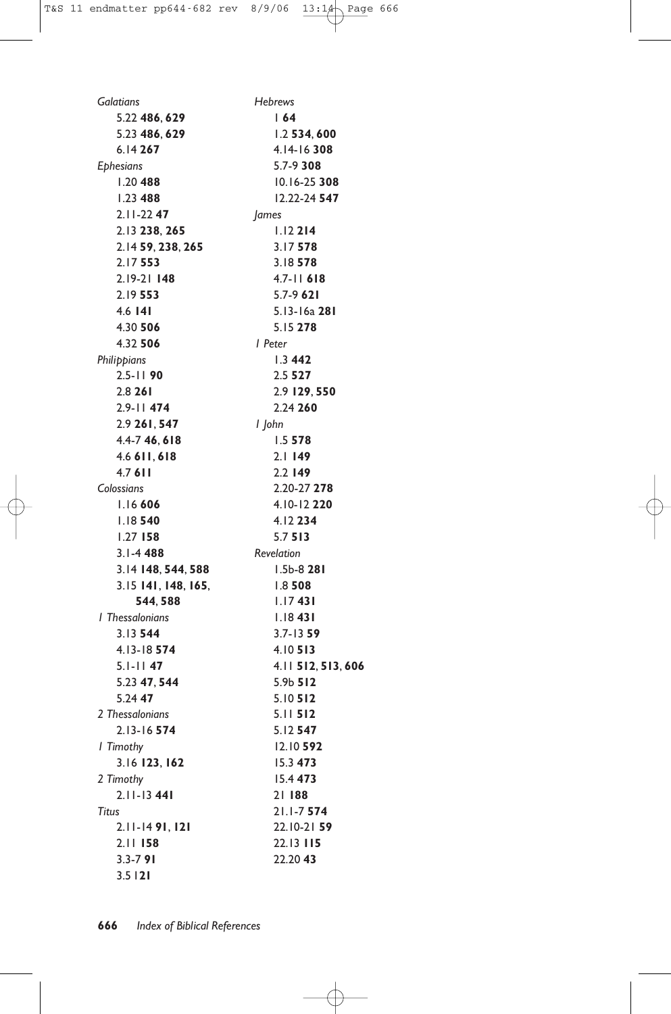| Galatians           | <b>Hebrews</b>     |
|---------------------|--------------------|
| 5.22 486, 629       | 164                |
| 5.23 486, 629       | 1.2 534, 600       |
| 6.14 267            | 4.14-16308         |
| <b>Ephesians</b>    | $5.7 - 9.308$      |
| $1.20$ 488          | 10.16-25 308       |
| $1.23$ 488          | 12.22-24 547       |
| $2.11 - 2247$       | James              |
| 2.13 238, 265       | 1.12214            |
| 2.14 59, 238, 265   | 3.17578            |
| 2.17553             | 3.18578            |
| $2.19 - 21$ 148     | $4.7 - 11$ 618     |
| 2.19553             | $5.7 - 9621$       |
| 4.6   4             | 5.13-16a 281       |
| 4.30 506            | 5.15 278           |
| 4.32 506            | l Peter            |
| Philippians         | 1.3442             |
| $2.5 - 1190$        | 2.5527             |
| 2.8261              | 2.9 129, 550       |
| $2.9 - 11$ 474      | 2.24 260           |
| 2.9 261, 547        | l John             |
| 4.4-7 46, 618       | 1.5578             |
| 4.6 611, 618        | 2.1149             |
| 4.7611              | $2.2$ 149          |
| Colossians          | 2.20-27 278        |
| 1.16606             | 4.10-12 220        |
| 1.18540             | 4.12234            |
| $1.27$ 158          | 5.7513             |
| $3.1 - 4488$        | <b>Revelation</b>  |
| 3.14 148, 544, 588  | $1.5b - 8281$      |
| 3.15 141, 148, 165, | 1.8508             |
| 544, 588            | 1.17431            |
| I Thessalonians     | 1.18431            |
| 3.13544             | $3.7 - 1359$       |
| 4.13-18 574         | 4.10513            |
| $5.1 - 11$ 47       | 4.11 512, 513, 606 |
| 5.23 47, 544        | 5.9b 512           |
| 5.24 47             | 5.10512            |
| 2 Thessalonians     | $5.11$ 512         |
| 2.13-16 574         | 5.12 547           |
| I Timothy           | 12.10 592          |
| 3.16 123, 162       | 15.3 473           |
| 2 Timothy           | 15.4 473           |
| $2.11 - 1341$       | 21188              |
| Titus               | $21.1 - 7574$      |
| $2.11 - 1491, 121$  | 22.10-21 59        |
| $2.11$ 158          | 22.13 115          |
| $3.3 - 791$         | 22.20 43           |
| 3.5121              |                    |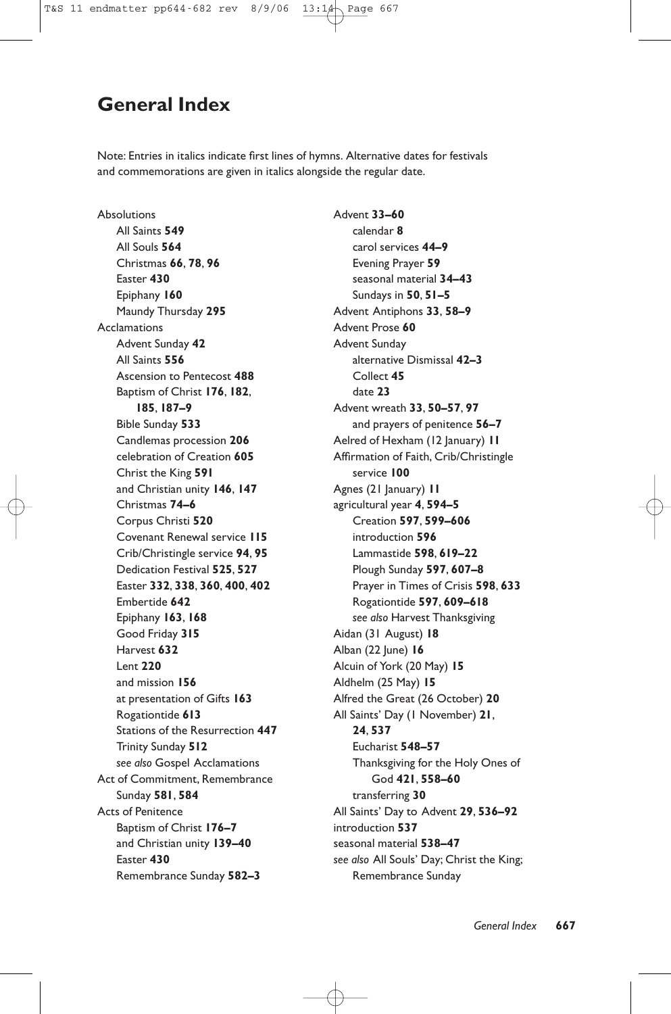### **General Index**

Note: Entries in italics indicate first lines of hymns. Alternative dates for festivals and commemorations are given in italics alongside the regular date.

Absolutions All Saints **549** All Souls **564** Christmas **66**, **78**, **96** Easter **430** Epiphany **160** Maundy Thursday **295** Acclamations Advent Sunday **42** All Saints **556** Ascension to Pentecost **488** Baptism of Christ **176**, **182**, **185**, **187–9** Bible Sunday **533** Candlemas procession **206** celebration of Creation **605** Christ the King **591** and Christian unity **146**, **147** Christmas **74–6** Corpus Christi **520** Covenant Renewal service **115** Crib/Christingle service **94**, **95** Dedication Festival **525**, **527** Easter **332**, **338**, **360**, **400**, **402** Embertide **642** Epiphany **163**, **168** Good Friday **315** Harvest **632** Lent **220** and mission **156** at presentation of Gifts **163** Rogationtide **613** Stations of the Resurrection **447** Trinity Sunday **512** *see also* Gospel Acclamations Act of Commitment, Remembrance Sunday **581**, **584** Acts of Penitence Baptism of Christ **176–7** and Christian unity **139–40** Easter **430** Remembrance Sunday **582–3**

Advent **33–60** calendar **8** carol services **44–9** Evening Prayer **59** seasonal material **34–43** Sundays in **50**, **51–5** Advent Antiphons **33**, **58–9** Advent Prose **60** Advent Sunday alternative Dismissal **42–3** Collect **45** date **23** Advent wreath **33**, **50–57**, **97** and prayers of penitence **56–7** Aelred of Hexham (12 January) **11** Affirmation of Faith, Crib/Christingle service **100** Agnes (21 January) **11** agricultural year **4**, **594–5** Creation **597**, **599–606** introduction **596** Lammastide **598**, **619–22** Plough Sunday **597**, **607–8** Prayer in Times of Crisis **598**, **633** Rogationtide **597**, **609–618** *see also* Harvest Thanksgiving Aidan (31 August) **18** Alban (22 June) **16** Alcuin of York (20 May) **15** Aldhelm (25 May) **15** Alfred the Great (26 October) **20** All Saints' Day (1 November) **21**, **24**, **537** Eucharist **548–57** Thanksgiving for the Holy Ones of God **421**, **558–60** transferring **30** All Saints' Day to Advent **29**, **536–92** introduction **537** seasonal material **538–47** *see also* All Souls' Day; Christ the King; Remembrance Sunday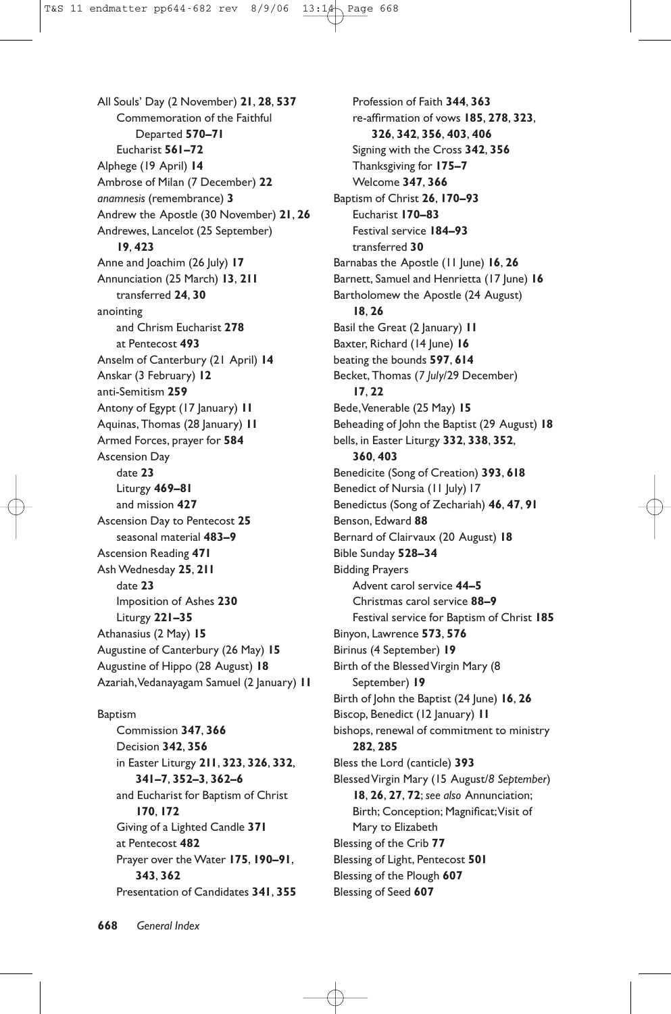All Souls' Day (2 November) **21**, **28**, **537** Commemoration of the Faithful Departed **570–71** Eucharist **561–72** Alphege (19 April) **14** Ambrose of Milan (7 December) **22** *anamnesis* (remembrance) **3** Andrew the Apostle (30 November) **21**, **26** Andrewes, Lancelot (25 September) **19**, **423** Anne and Joachim (26 July) **17** Annunciation (25 March) **13**, **211** transferred **24**, **30** anointing and Chrism Eucharist **278** at Pentecost **493** Anselm of Canterbury (21 April) **14** Anskar (3 February) **12** anti-Semitism **259** Antony of Egypt (17 January) **11** Aquinas, Thomas (28 January) **11** Armed Forces, prayer for **584** Ascension Day date **23** Liturgy **469–81** and mission **427** Ascension Day to Pentecost **25** seasonal material **483–9** Ascension Reading **471** Ash Wednesday **25**, **211** date **23** Imposition of Ashes **230** Liturgy **221–35** Athanasius (2 May) **15** Augustine of Canterbury (26 May) **15** Augustine of Hippo (28 August) **18** Azariah,Vedanayagam Samuel (2 January) **11** Baptism

Commission **347**, **366** Decision **342**, **356** in Easter Liturgy **211**, **323**, **326**, **332**, **341–7**, **352–3**, **362–6** and Eucharist for Baptism of Christ **170**, **172** Giving of a Lighted Candle **371** at Pentecost **482** Prayer over the Water **175**, **190–91**, **343**, **362** Presentation of Candidates **341**, **355**

Profession of Faith **344**, **363** re-affirmation of vows **185**, **278**, **323**, **326**, **342**, **356**, **403**, **406** Signing with the Cross **342**, **356** Thanksgiving for **175–7** Welcome **347**, **366** Baptism of Christ **26**, **170–93** Eucharist **170–83** Festival service **184–93** transferred **30** Barnabas the Apostle (11 June) **16**, **26** Barnett, Samuel and Henrietta (17 June) 16 Bartholomew the Apostle (24 August) **18**, **26** Basil the Great (2 January) **11** Baxter, Richard (14 June) 16 beating the bounds **597**, **614** Becket, Thomas (*7 July*/29 December) **17**, **22** Bede,Venerable (25 May) **15** Beheading of John the Baptist (29 August) **18** bells, in Easter Liturgy **332**, **338**, **352**, **360**, **403** Benedicite (Song of Creation) **393**, **618** Benedict of Nursia (11 July) 17 Benedictus (Song of Zechariah) **46**, **47**, **91** Benson, Edward **88** Bernard of Clairvaux (20 August) **18** Bible Sunday **528–34** Bidding Prayers Advent carol service **44–5** Christmas carol service **88–9** Festival service for Baptism of Christ **185** Binyon, Lawrence **573**, **576** Birinus (4 September) **19** Birth of the Blessed Virgin Mary (8 September) **19** Birth of John the Baptist (24 June) **16**, **26** Biscop, Benedict (12 January) **11** bishops, renewal of commitment to ministry **282**, **285** Bless the Lord (canticle) **393** Blessed Virgin Mary (15 August/*8 September*) **18**, **26**, **27**, **72**; *see also* Annunciation; Birth; Conception; Magnificat;Visit of Mary to Elizabeth Blessing of the Crib **77** Blessing of Light, Pentecost **501** Blessing of the Plough **607** Blessing of Seed **607**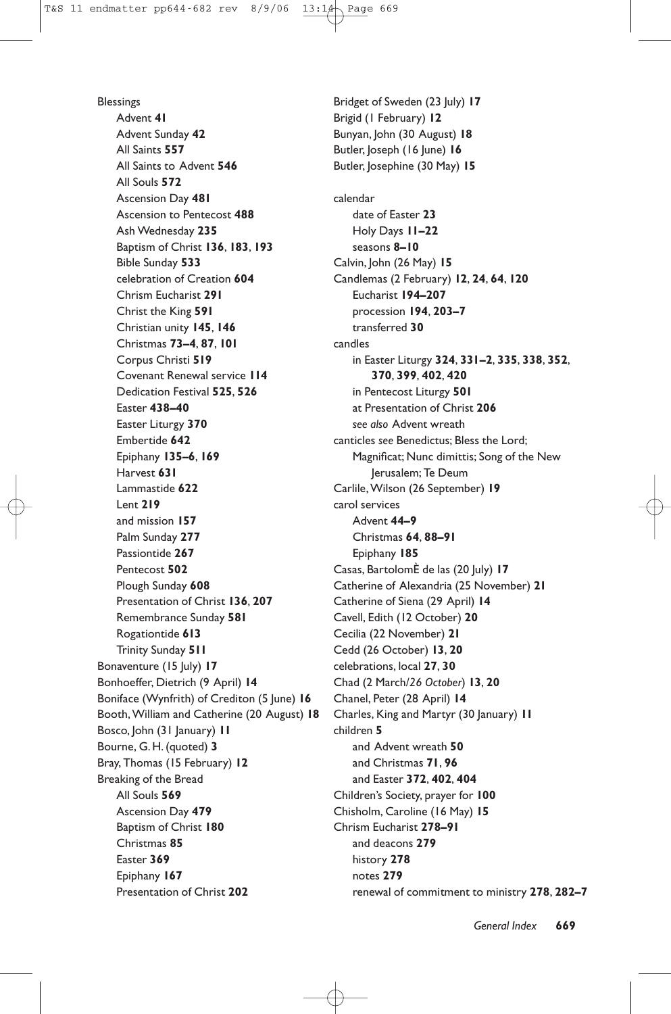Blessings Advent **41** Advent Sunday **42** All Saints **557** All Saints to Advent **546** All Souls **572** Ascension Day **481** Ascension to Pentecost **488** Ash Wednesday **235** Baptism of Christ **136**, **183**, **193** Bible Sunday **533** celebration of Creation **604** Chrism Eucharist **291** Christ the King **591** Christian unity **145**, **146** Christmas **73–4**, **87**, **101** Corpus Christi **519** Covenant Renewal service **114** Dedication Festival **525**, **526** Easter **438–40** Easter Liturgy **370** Embertide **642** Epiphany **135–6**, **169** Harvest **631** Lammastide **622** Lent **219** and mission **157** Palm Sunday **277** Passiontide **267** Pentecost **502** Plough Sunday **608** Presentation of Christ **136**, **207** Remembrance Sunday **581** Rogationtide **613** Trinity Sunday **511** Bonaventure (15 July) **17** Bonhoeffer, Dietrich (9 April) **14** Boniface (Wynfrith) of Crediton (5 June) **16** Booth, William and Catherine (20 August) **18** Bosco, John (31 January) **11** Bourne, G. H. (quoted) **3** Bray, Thomas (15 February) **12** Breaking of the Bread All Souls **569** Ascension Day **479** Baptism of Christ **180** Christmas **85** Easter **369** Epiphany **167** Presentation of Christ **202**

Bridget of Sweden (23 July) **17** Brigid (1 February) **12** Bunyan, John (30 August) **18** Butler, Joseph (16 June) **16** Butler, Josephine (30 May) **15** calendar date of Easter **23** Holy Days **11–22** seasons **8–10** Calvin, John (26 May) **15** Candlemas (2 February) **12**, **24**, **64**, **120** Eucharist **194–207** procession **194**, **203–7** transferred **30** candles in Easter Liturgy **324**, **331–2**, **335**, **338**, **352**, **370**, **399**, **402**, **420** in Pentecost Liturgy **501** at Presentation of Christ **206** *see also* Advent wreath canticles *see* Benedictus; Bless the Lord; Magnificat; Nunc dimittis; Song of the New Jerusalem; Te Deum Carlile, Wilson (26 September) **19** carol services Advent **44–9** Christmas **64**, **88–91** Epiphany **185** Casas, BartolomÈ de las (20 July) **17** Catherine of Alexandria (25 November) **21** Catherine of Siena (29 April) **14** Cavell, Edith (12 October) **20** Cecilia (22 November) **21** Cedd (26 October) **13**, **20** celebrations, local **27**, **30** Chad (2 March/*26 October*) **13**, **20** Chanel, Peter (28 April) **14** Charles, King and Martyr (30 January) **11** children **5** and Advent wreath **50** and Christmas **71**, **96** and Easter **372**, **402**, **404** Children's Society, prayer for **100** Chisholm, Caroline (16 May) **15** Chrism Eucharist **278–91** and deacons **279** history **278** notes **279** renewal of commitment to ministry **278**, **282–7**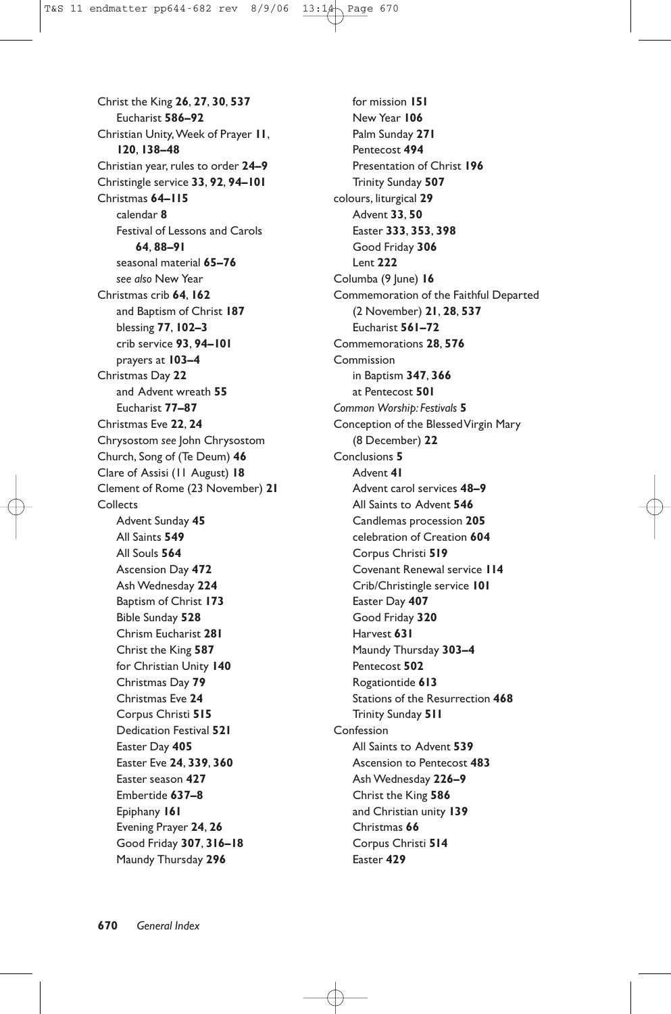Christ the King **26**, **27**, **30**, **537** Eucharist **586–92** Christian Unity, Week of Prayer **11**, **120**, **138–48** Christian year, rules to order **24–9** Christingle service **33**, **92**, **94–101** Christmas **64–115** calendar **8** Festival of Lessons and Carols **64**, **88–91** seasonal material **65–76** *see also* New Year Christmas crib **64**, **162** and Baptism of Christ **187** blessing **77**, **102–3** crib service **93**, **94–101** prayers at **103–4** Christmas Day **22** and Advent wreath **55** Eucharist **77–87** Christmas Eve **22**, **24** Chrysostom *see* John Chrysostom Church, Song of (Te Deum) **46** Clare of Assisi (11 August) **18** Clement of Rome (23 November) **21 Collects** Advent Sunday **45** All Saints **549** All Souls **564** Ascension Day **472** Ash Wednesday **224** Baptism of Christ **173** Bible Sunday **528** Chrism Eucharist **281** Christ the King **587** for Christian Unity **140** Christmas Day **79** Christmas Eve **24** Corpus Christi **515** Dedication Festival **521** Easter Day **405** Easter Eve **24**, **339**, **360** Easter season **427** Embertide **637–8** Epiphany **161** Evening Prayer **24**, **26** Good Friday **307**, **316–18** Maundy Thursday **296**

for mission **151** New Year **106** Palm Sunday **271** Pentecost **494** Presentation of Christ **196** Trinity Sunday **507** colours, liturgical **29** Advent **33**, **50** Easter **333**, **353**, **398** Good Friday **306** Lent **222** Columba (9 June) **16** Commemoration of the Faithful Departed (2 November) **21**, **28**, **537** Eucharist **561–72** Commemorations **28**, **576** Commission in Baptism **347**, **366** at Pentecost **501** *Common Worship: Festivals* **5** Conception of the Blessed Virgin Mary (8 December) **22** Conclusions **5** Advent **41** Advent carol services **48–9** All Saints to Advent **546** Candlemas procession **205** celebration of Creation **604** Corpus Christi **519** Covenant Renewal service **114** Crib/Christingle service **101** Easter Day **407** Good Friday **320** Harvest **631** Maundy Thursday **303–4** Pentecost **502** Rogationtide **613** Stations of the Resurrection **468** Trinity Sunday **511** Confession All Saints to Advent **539** Ascension to Pentecost **483** Ash Wednesday **226–9** Christ the King **586** and Christian unity **139** Christmas **66** Corpus Christi **514** Easter **429**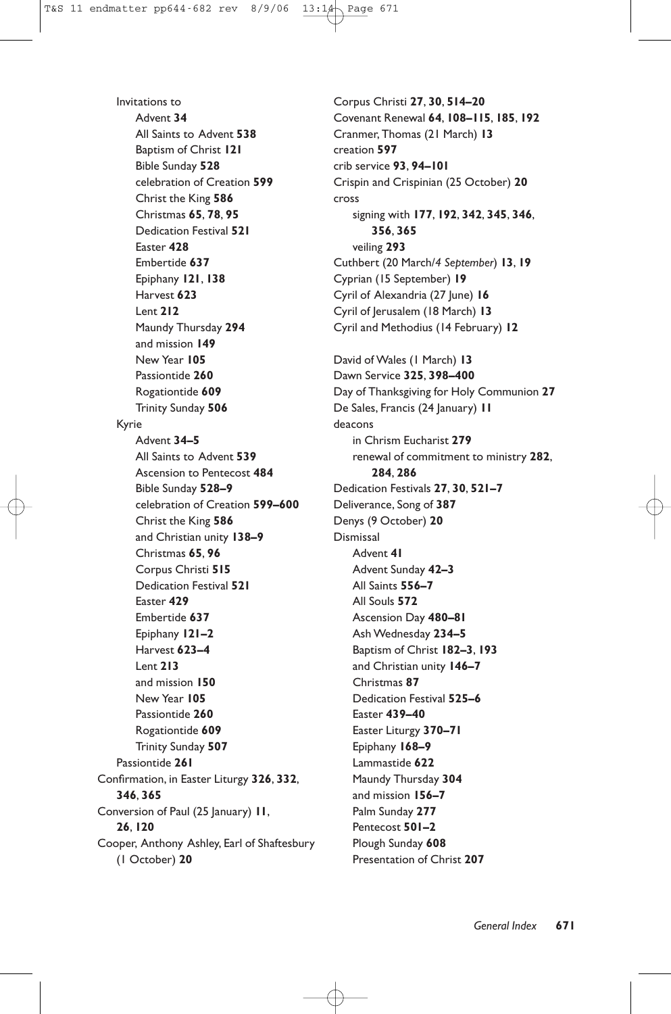Invitations to Advent **34** All Saints to Advent **538** Baptism of Christ **121** Bible Sunday **528** celebration of Creation **599** Christ the King **586** Christmas **65**, **78**, **95** Dedication Festival **521** Easter **428** Embertide **637** Epiphany **121**, **138** Harvest **623** Lent **212** Maundy Thursday **294** and mission **149** New Year **105** Passiontide **260** Rogationtide **609** Trinity Sunday **506** Kyrie Advent **34–5** All Saints to Advent **539** Ascension to Pentecost **484** Bible Sunday **528–9** celebration of Creation **599–600** Christ the King **586** and Christian unity **138–9** Christmas **65**, **96** Corpus Christi **515** Dedication Festival **521** Easter **429** Embertide **637** Epiphany **121–2** Harvest **623–4** Lent **213** and mission **150** New Year **105** Passiontide **260** Rogationtide **609** Trinity Sunday **507** Passiontide **261** Confirmation, in Easter Liturgy **326**, **332**, **346**, **365** Conversion of Paul (25 January) **11**, **26**, **120** Cooper, Anthony Ashley, Earl of Shaftesbury (1 October) **20**

Corpus Christi **27**, **30**, **514–20** Covenant Renewal **64**, **108–115**, **185**, **192** Cranmer, Thomas (21 March) **13** creation **597** crib service **93**, **94–101** Crispin and Crispinian (25 October) **20** cross signing with **177**, **192**, **342**, **345**, **346**, **356**, **365** veiling **293** Cuthbert (20 March/*4 September*) **13**, **19** Cyprian (15 September) **19** Cyril of Alexandria (27 June) **16** Cyril of Jerusalem (18 March) **13** Cyril and Methodius (14 February) **12** David of Wales (1 March) **13** Dawn Service **325**, **398–400** Day of Thanksgiving for Holy Communion **27** De Sales, Francis (24 January) **11** deacons in Chrism Eucharist **279** renewal of commitment to ministry **282**, **284**, **286** Dedication Festivals **27**, **30**, **521–7** Deliverance, Song of **387** Denys (9 October) **20** Dismissal Advent **41** Advent Sunday **42–3** All Saints **556–7** All Souls **572** Ascension Day **480–81** Ash Wednesday **234–5** Baptism of Christ **182–3**, **193** and Christian unity **146–7** Christmas **87** Dedication Festival **525–6** Easter **439–40** Easter Liturgy **370–71** Epiphany **168–9** Lammastide **622** Maundy Thursday **304** and mission **156–7** Palm Sunday **277** Pentecost **501–2** Plough Sunday **608** Presentation of Christ **207**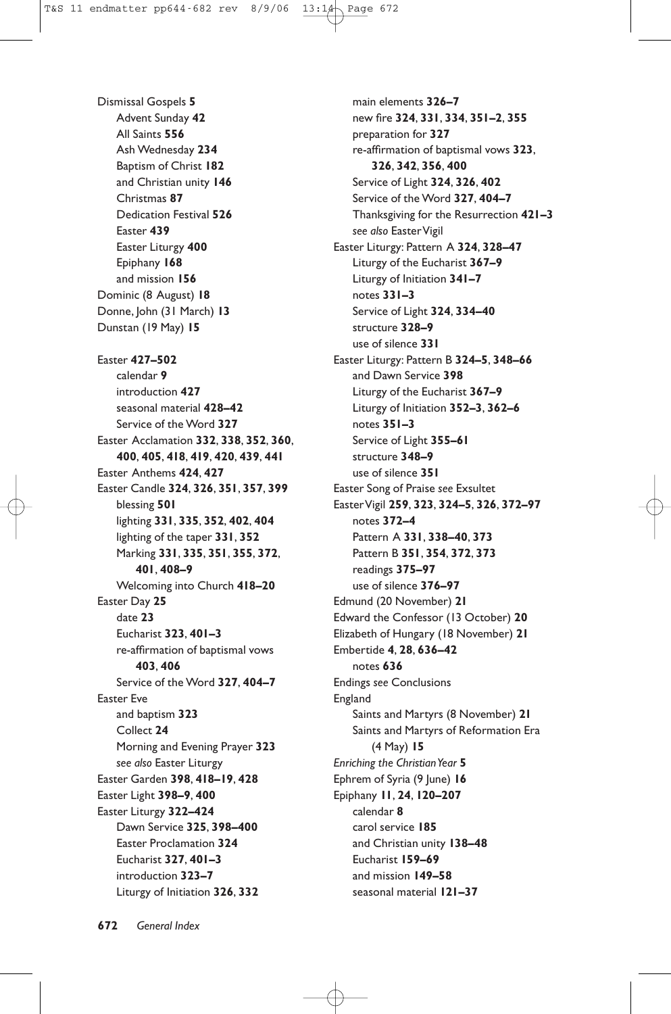Dismissal Gospels **5** Advent Sunday **42** All Saints **556** Ash Wednesday **234** Baptism of Christ **182** and Christian unity **146** Christmas **87** Dedication Festival **526** Easter **439** Easter Liturgy **400** Epiphany **168** and mission **156** Dominic (8 August) **18** Donne, John (31 March) **13** Dunstan (19 May) **15**

Easter **427–502** calendar **9** introduction **427** seasonal material **428–42** Service of the Word **327** Easter Acclamation **332**, **338**, **352**, **360**, **400**, **405**, **418**, **419**, **420**, **439**, **441** Easter Anthems **424**, **427** Easter Candle **324**, **326**, **351**, **357**, **399** blessing **501** lighting **331**, **335**, **352**, **402**, **404** lighting of the taper **331**, **352** Marking **331**, **335**, **351**, **355**, **372**, **401**, **408–9** Welcoming into Church **418–20** Easter Day **25** date **23** Eucharist **323**, **401–3** re-affirmation of baptismal vows **403**, **406** Service of the Word **327**, **404–7** Easter Eve and baptism **323** Collect **24** Morning and Evening Prayer **323** *see also* Easter Liturgy Easter Garden **398**, **418–19**, **428** Easter Light **398–9**, **400** Easter Liturgy **322–424** Dawn Service **325**, **398–400** Easter Proclamation **324** Eucharist **327**, **401–3** introduction **323–7** Liturgy of Initiation **326**, **332**

**672** *General Index*

main elements **326–7** new fire **324**, **331**, **334**, **351–2**, **355** preparation for **327** re-affirmation of baptismal vows **323**, **326**, **342**, **356**, **400** Service of Light **324**, **326**, **402** Service of the Word **327**, **404–7** Thanksgiving for the Resurrection **421–3** *see also* EasterVigil Easter Liturgy: Pattern A **324**, **328–47** Liturgy of the Eucharist **367–9** Liturgy of Initiation **341–7** notes **331–3** Service of Light **324**, **334–40** structure **328–9** use of silence **331** Easter Liturgy: Pattern B **324–5**, **348–66** and Dawn Service **398** Liturgy of the Eucharist **367–9** Liturgy of Initiation **352–3**, **362–6** notes **351–3** Service of Light **355–61** structure **348–9** use of silence **351** Easter Song of Praise *see* Exsultet EasterVigil **259**, **323**, **324–5**, **326**, **372–97** notes **372–4** Pattern A **331**, **338–40**, **373** Pattern B **351**, **354**, **372**, **373** readings **375–97** use of silence **376–97** Edmund (20 November) **21** Edward the Confessor (13 October) **20** Elizabeth of Hungary (18 November) **21** Embertide **4**, **28**, **636–42** notes **636** Endings *see* Conclusions England Saints and Martyrs (8 November) **21** Saints and Martyrs of Reformation Era (4 May) **15** *Enriching the Christian Year* **5** Ephrem of Syria (9 June) **16** Epiphany **11**, **24**, **120–207** calendar **8** carol service **185** and Christian unity **138–48** Eucharist **159–69** and mission **149–58** seasonal material **121–37**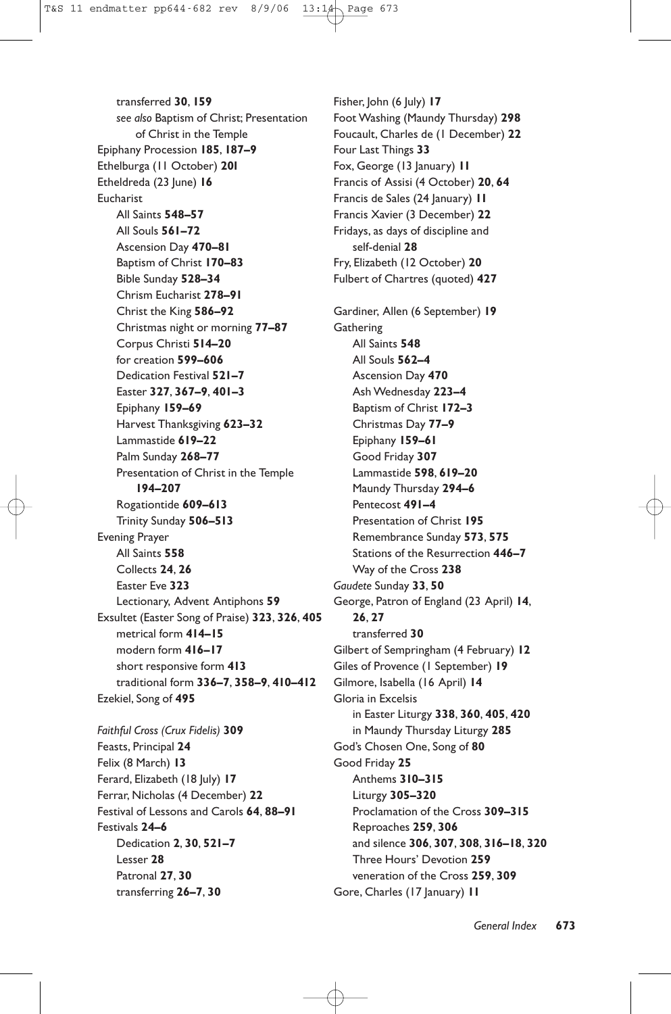transferred **30**, **159** *see also* Baptism of Christ; Presentation of Christ in the Temple Epiphany Procession **185**, **187–9** Ethelburga (11 October) **20l** Etheldreda (23 June) **16** Eucharist All Saints **548–57** All Souls **561–72** Ascension Day **470–81** Baptism of Christ **170–83** Bible Sunday **528–34** Chrism Eucharist **278–91** Christ the King **586–92** Christmas night or morning **77–87** Corpus Christi **514–20** for creation **599–606** Dedication Festival **521–7** Easter **327**, **367–9**, **401–3** Epiphany **159–69** Harvest Thanksgiving **623–32** Lammastide **619–22** Palm Sunday **268–77** Presentation of Christ in the Temple **194–207** Rogationtide **609–613** Trinity Sunday **506–513** Evening Prayer All Saints **558** Collects **24**, **26** Easter Eve **323** Lectionary, Advent Antiphons **59** Exsultet (Easter Song of Praise) **323**, **326**, **405** metrical form **414–15** modern form **416–17** short responsive form **413** traditional form **336–7**, **358–9**, **410–412** Ezekiel, Song of **495** *Faithful Cross (Crux Fidelis)* **309** Feasts, Principal **24** Felix (8 March) **13** Ferard, Elizabeth (18 July) **17** Ferrar, Nicholas (4 December) **22** Festival of Lessons and Carols **64**, **88–91** Festivals **24–6** Dedication **2**, **30**, **521–7**

Lesser **28** Patronal **27**, **30** transferring **26–7**, **30**

Fisher, John (6 July) **17** Foot Washing (Maundy Thursday) **298** Foucault, Charles de (1 December) **22** Four Last Things **33** Fox, George (13 January) **11** Francis of Assisi (4 October) **20**, **64** Francis de Sales (24 January) **11** Francis Xavier (3 December) **22** Fridays, as days of discipline and self-denial **28** Fry, Elizabeth (12 October) **20** Fulbert of Chartres (quoted) **427** Gardiner, Allen (6 September) **19 Gathering** All Saints **548** All Souls **562–4** Ascension Day **470** Ash Wednesday **223–4** Baptism of Christ **172–3** Christmas Day **77–9** Epiphany **159–61** Good Friday **307** Lammastide **598**, **619–20** Maundy Thursday **294–6** Pentecost **491–4** Presentation of Christ **195** Remembrance Sunday **573**, **575** Stations of the Resurrection **446–7** Way of the Cross **238** *Gaudete* Sunday **33**, **50** George, Patron of England (23 April) **14**, **26**, **27** transferred **30** Gilbert of Sempringham (4 February) **12** Giles of Provence (1 September) **19** Gilmore, Isabella (16 April) **14** Gloria in Excelsis in Easter Liturgy **338**, **360**, **405**, **420** in Maundy Thursday Liturgy **285** God's Chosen One, Song of **80** Good Friday **25** Anthems **310–315** Liturgy **305–320** Proclamation of the Cross **309–315** Reproaches **259**, **306** and silence **306**, **307**, **308**, **316–18**, **320** Three Hours' Devotion **259** veneration of the Cross **259**, **309** Gore, Charles (17 January) **11**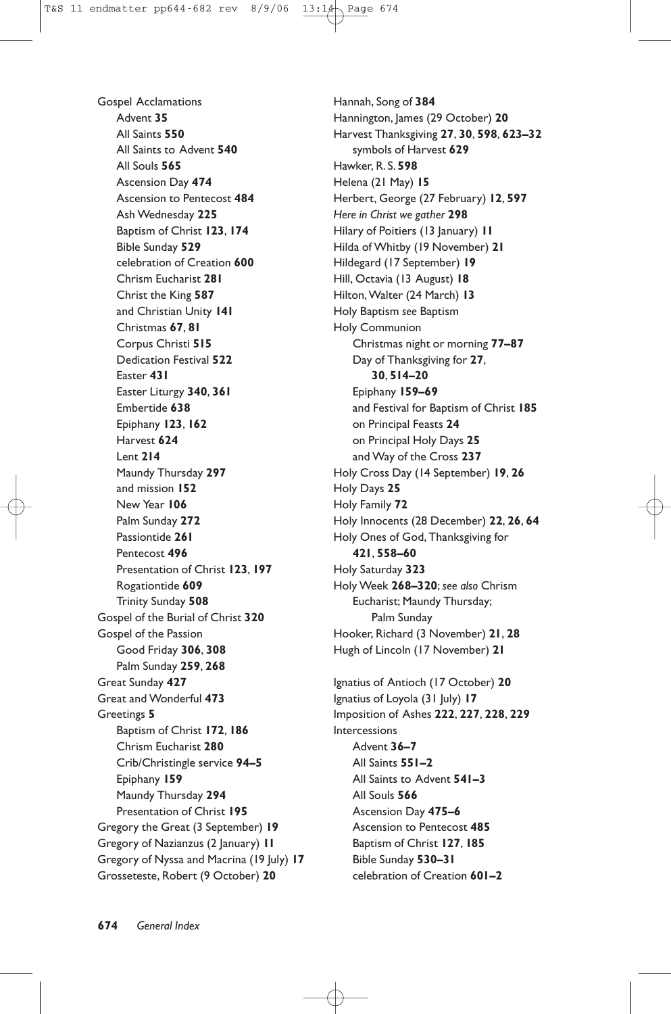Gospel Acclamations Advent **35** All Saints **550** All Saints to Advent **540** All Souls **565** Ascension Day **474** Ascension to Pentecost **484** Ash Wednesday **225** Baptism of Christ **123**, **174** Bible Sunday **529** celebration of Creation **600** Chrism Eucharist **281** Christ the King **587** and Christian Unity **141** Christmas **67**, **81** Corpus Christi **515** Dedication Festival **522** Easter **431** Easter Liturgy **340**, **361** Embertide **638** Epiphany **123**, **162** Harvest **624** Lent **214** Maundy Thursday **297** and mission **152** New Year **106** Palm Sunday **272** Passiontide **261** Pentecost **496** Presentation of Christ **123**, **197** Rogationtide **609** Trinity Sunday **508** Gospel of the Burial of Christ **320** Gospel of the Passion Good Friday **306**, **308** Palm Sunday **259**, **268** Great Sunday **427** Great and Wonderful **473** Greetings **5** Baptism of Christ **172**, **186** Chrism Eucharist **280** Crib/Christingle service **94–5** Epiphany **159** Maundy Thursday **294** Presentation of Christ **195** Gregory the Great (3 September) **19** Gregory of Nazianzus (2 January) **11** Gregory of Nyssa and Macrina (19 July) **17** Grosseteste, Robert (9 October) **20**

Hannah, Song of **384** Hannington, James (29 October) 20 Harvest Thanksgiving **27**, **30**, **598**, **623–32** symbols of Harvest **629** Hawker, R. S. **598** Helena (21 May) **15** Herbert, George (27 February) **12**, **597** *Here in Christ we gather* **298** Hilary of Poitiers (13 January) **11** Hilda of Whitby (19 November) **21** Hildegard (17 September) **19** Hill, Octavia (13 August) **18** Hilton, Walter (24 March) **13** Holy Baptism *see* Baptism Holy Communion Christmas night or morning **77–87** Day of Thanksgiving for **27**, **30**, **514–20** Epiphany **159–69** and Festival for Baptism of Christ **185** on Principal Feasts **24** on Principal Holy Days **25** and Way of the Cross **237** Holy Cross Day (14 September) **19**, **26** Holy Days **25** Holy Family **72** Holy Innocents (28 December) **22**, **26**, **64** Holy Ones of God, Thanksgiving for **421**, **558–60** Holy Saturday **323** Holy Week **268–320**; *see also* Chrism Eucharist; Maundy Thursday; Palm Sunday Hooker, Richard (3 November) **21**, **28** Hugh of Lincoln (17 November) **21** Ignatius of Antioch (17 October) **20**

Ignatius of Loyola (31 July) **17** Imposition of Ashes **222**, **227**, **228**, **229** Intercessions Advent **36–7** All Saints **551–2** All Saints to Advent **541–3** All Souls **566** Ascension Day **475–6** Ascension to Pentecost **485** Baptism of Christ **127**, **185** Bible Sunday **530–31** celebration of Creation **601–2**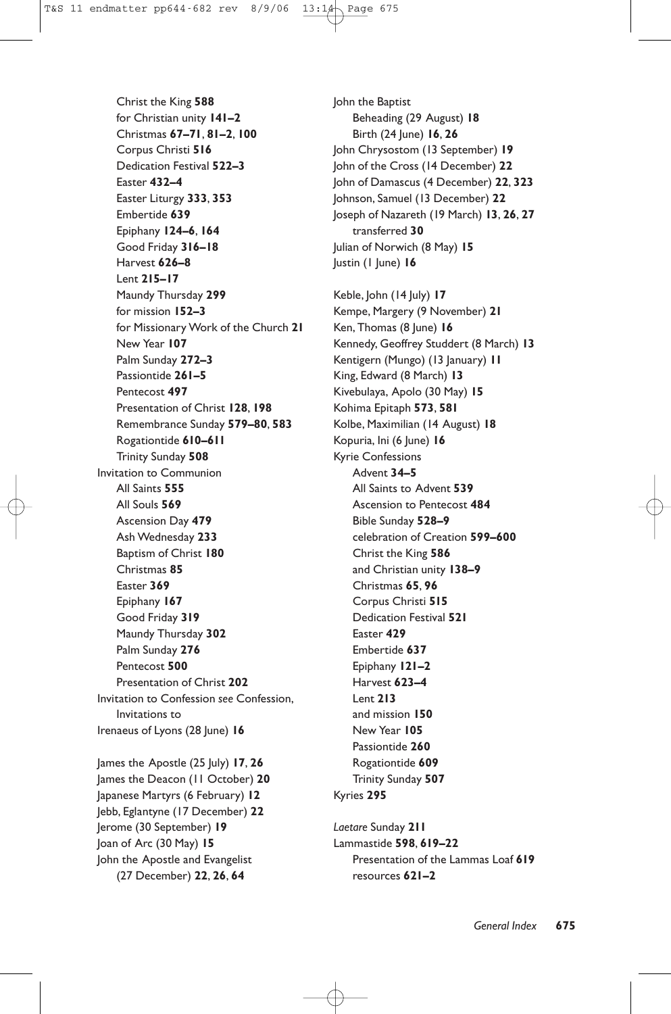Christ the King **588** for Christian unity **141–2** Christmas **67–71**, **81–2**, **100** Corpus Christi **516** Dedication Festival **522–3** Easter **432–4** Easter Liturgy **333**, **353** Embertide **639** Epiphany **124–6**, **164** Good Friday **316–18** Harvest **626–8** Lent **215–17** Maundy Thursday **299** for mission **152–3** for Missionary Work of the Church **21** New Year **107** Palm Sunday **272–3** Passiontide **261–5** Pentecost **497** Presentation of Christ **128**, **198** Remembrance Sunday **579–80**, **583** Rogationtide **610–611** Trinity Sunday **508** Invitation to Communion All Saints **555** All Souls **569** Ascension Day **479** Ash Wednesday **233** Baptism of Christ **180** Christmas **85** Easter **369** Epiphany **167** Good Friday **319** Maundy Thursday **302** Palm Sunday **276** Pentecost **500** Presentation of Christ **202** Invitation to Confession *see* Confession, Invitations to Irenaeus of Lyons (28 June) **16** James the Apostle (25 July) **17**, **26** James the Deacon (11 October) **20** Japanese Martyrs (6 February) **12** Jebb, Eglantyne (17 December) **22** Jerome (30 September) **19**

Joan of Arc (30 May) **15** John the Apostle and Evangelist (27 December) **22**, **26**, **64**

Kyries **295** *Laetare* Sunday **211** Lammastide **598**, **619–22** resources **621–2**

John the Baptist Beheading (29 August) **18** Birth (24 June) **16**, **26** John Chrysostom (13 September) **19** John of the Cross (14 December) **22** John of Damascus (4 December) **22**, **323** Johnson, Samuel (13 December) **22** Joseph of Nazareth (19 March) **13**, **26**, **27** transferred **30** Julian of Norwich (8 May) **15** Justin (1 June) **16**

Keble, John (14 July) **17** Kempe, Margery (9 November) **21** Ken, Thomas (8 June) **16** Kennedy, Geoffrey Studdert (8 March) **13** Kentigern (Mungo) (13 January) **11** King, Edward (8 March) **13** Kivebulaya, Apolo (30 May) **15** Kohima Epitaph **573**, **581** Kolbe, Maximilian (14 August) **18** Kopuria, Ini (6 June) **16** Kyrie Confessions Advent **34–5** All Saints to Advent **539** Ascension to Pentecost **484** Bible Sunday **528–9** celebration of Creation **599–600** Christ the King **586** and Christian unity **138–9** Christmas **65**, **96** Corpus Christi **515** Dedication Festival **521** Easter **429** Embertide **637** Epiphany **121–2** Harvest **623–4** Lent **213** and mission **150** New Year **105** Passiontide **260** Rogationtide **609** Trinity Sunday **507** Presentation of the Lammas Loaf **619**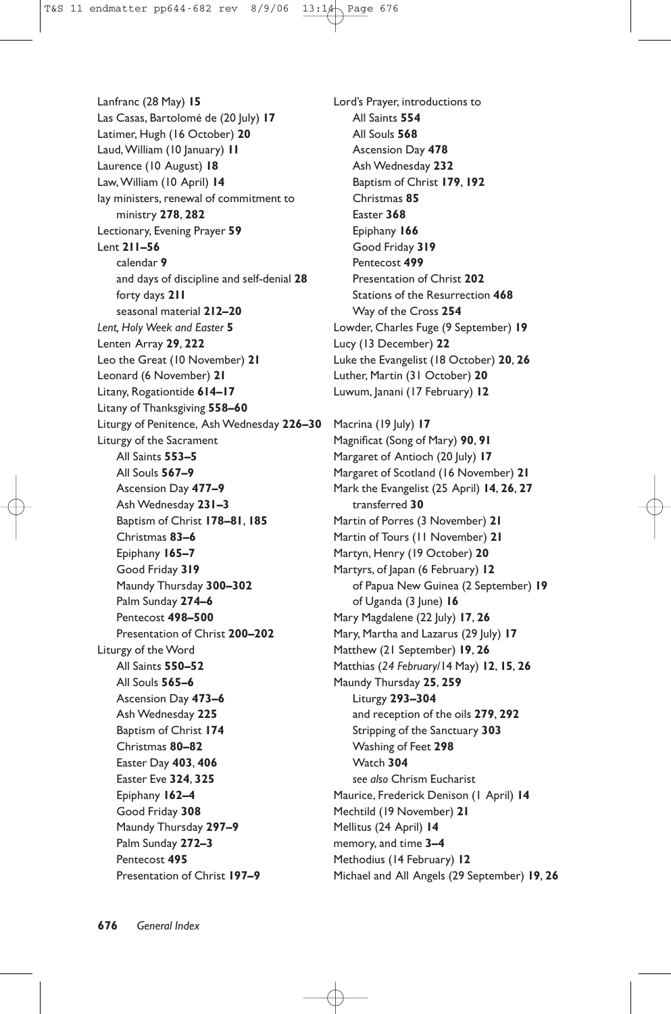Lanfranc (28 May) **15** Las Casas, Bartolomé de (20 July) **17** Latimer, Hugh (16 October) **20** Laud, William (10 January) **11** Laurence (10 August) **18** Law, William (10 April) **14** lay ministers, renewal of commitment to ministry **278**, **282** Lectionary, Evening Prayer **59** Lent **211–56** calendar **9** and days of discipline and self-denial **28** forty days **211** seasonal material **212–20** *Lent, Holy Week and Easter* **5** Lenten Array **29**, **222** Leo the Great (10 November) **21** Leonard (6 November) **21** Litany, Rogationtide **614–17** Litany of Thanksgiving **558–60** Liturgy of Penitence, Ash Wednesday **226–30** Macrina (19 July) **17** Liturgy of the Sacrament All Saints **553–5** All Souls **567–9** Ascension Day **477–9** Ash Wednesday **231–3** Baptism of Christ **178–81**, **185** Christmas **83–6** Epiphany **165–7** Good Friday **319** Maundy Thursday **300–302** Palm Sunday **274–6** Pentecost **498–500** Presentation of Christ **200–202** Liturgy of the Word All Saints **550–52** All Souls **565–6** Ascension Day **473–6** Ash Wednesday **225** Baptism of Christ **174** Christmas **80–82** Easter Day **403**, **406** Easter Eve **324**, **325** Epiphany **162–4** Good Friday **308** Maundy Thursday **297–9** Palm Sunday **272–3** Pentecost **495** Presentation of Christ **197–9**

Lord's Prayer, introductions to All Saints **554** All Souls **568** Ascension Day **478** Ash Wednesday **232** Baptism of Christ **179**, **192** Christmas **85** Easter **368** Epiphany **166** Good Friday **319** Pentecost **499** Presentation of Christ **202** Stations of the Resurrection **468** Way of the Cross **254** Lowder, Charles Fuge (9 September) **19** Lucy (13 December) **22** Luke the Evangelist (18 October) **20**, **26** Luther, Martin (31 October) **20** Luwum, Janani (17 February) **12**

Magnificat (Song of Mary) **90**, **91** Margaret of Antioch (20 July) **17** Margaret of Scotland (16 November) **21** Mark the Evangelist (25 April) **14**, **26**, **27** transferred **30** Martin of Porres (3 November) **21** Martin of Tours (11 November) **21** Martyn, Henry (19 October) **20** Martyrs, of Japan (6 February) **12** of Papua New Guinea (2 September) **19** of Uganda (3 June) **16** Mary Magdalene (22 July) **17**, **26** Mary, Martha and Lazarus (29 July) 17 Matthew (21 September) **19**, **26** Matthias (*24 February*/14 May) **12**, **15**, **26** Maundy Thursday **25**, **259** Liturgy **293–304** and reception of the oils **279**, **292** Stripping of the Sanctuary **303** Washing of Feet **298** Watch **304** *see also* Chrism Eucharist Maurice, Frederick Denison (1 April) **14** Mechtild (19 November) **21** Mellitus (24 April) **14** memory, and time **3–4** Methodius (14 February) **12** Michael and All Angels (29 September) **19**, **26**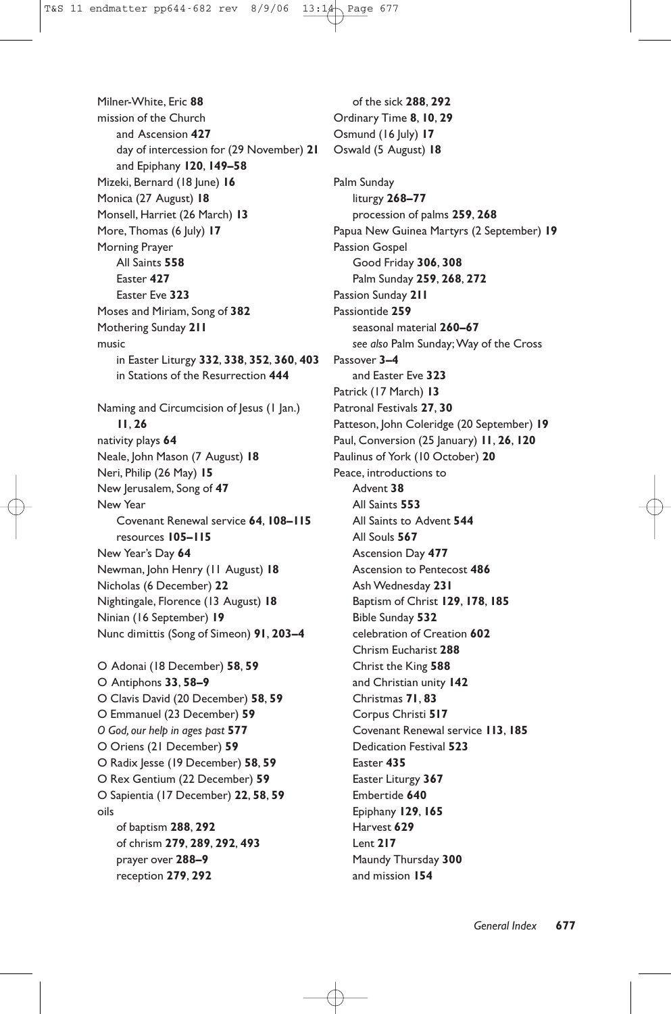Milner-White, Eric **88** mission of the Church and Ascension **427** day of intercession for (29 November) **21** and Epiphany **120**, **149–58** Mizeki, Bernard (18 June) **16** Monica (27 August) **18** Monsell, Harriet (26 March) **13** More, Thomas (6 July) **17** Morning Prayer All Saints **558** Easter **427** Easter Eve **323** Moses and Miriam, Song of **382** Mothering Sunday **211** music in Easter Liturgy **332**, **338**, **352**, **360**, **403** in Stations of the Resurrection **444** Naming and Circumcision of Jesus (1 Jan.) **11**, **26** nativity plays **64** Neale, John Mason (7 August) **18** Neri, Philip (26 May) **15** New Jerusalem, Song of **47** New Year Covenant Renewal service **64**, **108–115** resources **105–115** New Year's Day **64** Newman, John Henry (11 August) **18** Nicholas (6 December) **22** Nightingale, Florence (13 August) **18** Ninian (16 September) **19** Nunc dimittis (Song of Simeon) **91**, **203–4** O Adonai (18 December) **58**, **59** O Antiphons **33**, **58–9** O Clavis David (20 December) **58**, **59** O Emmanuel (23 December) **59** *O God, our help in ages past* **577** O Oriens (21 December) **59** O Radix Jesse (19 December) **58**, **59** O Rex Gentium (22 December) **59** O Sapientia (17 December) **22**, **58**, **59** oils of baptism **288**, **292** of chrism **279**, **289**, **292**, **493** prayer over **288–9** reception **279**, **292**

of the sick **288**, **292** Ordinary Time **8**, **10**, **29** Osmund (16 July) **17** Oswald (5 August) **18** Palm Sunday liturgy **268–77** procession of palms **259**, **268** Papua New Guinea Martyrs (2 September) **19** Passion Gospel Good Friday **306**, **308** Palm Sunday **259**, **268**, **272** Passion Sunday **211** Passiontide **259** seasonal material **260–67** *see also* Palm Sunday; Way of the Cross Passover **3–4** and Easter Eve **323** Patrick (17 March) **13** Patronal Festivals **27**, **30** Patteson, John Coleridge (20 September) **19** Paul, Conversion (25 January) **11**, **26**, **120** Paulinus of York (10 October) **20** Peace, introductions to Advent **38** All Saints **553** All Saints to Advent **544** All Souls **567** Ascension Day **477** Ascension to Pentecost **486** Ash Wednesday **231** Baptism of Christ **129**, **178**, **185** Bible Sunday **532** celebration of Creation **602** Chrism Eucharist **288** Christ the King **588** and Christian unity **142** Christmas **71**, **83** Corpus Christi **517** Covenant Renewal service **113**, **185** Dedication Festival **523** Easter **435** Easter Liturgy **367** Embertide **640** Epiphany **129**, **165** Harvest **629** Lent **217** Maundy Thursday **300** and mission **154**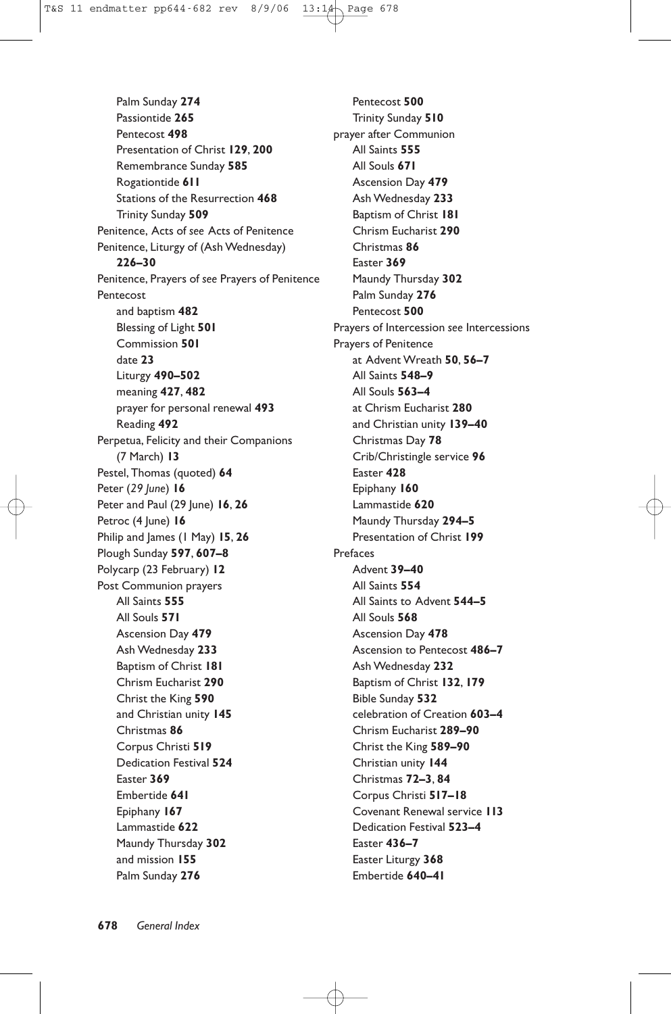Palm Sunday **274** Passiontide **265** Pentecost **498** Presentation of Christ **129**, **200** Remembrance Sunday **585** Rogationtide **611** Stations of the Resurrection **468** Trinity Sunday **509** Penitence, Acts of *see* Acts of Penitence Penitence, Liturgy of (Ash Wednesday) **226–30** Penitence, Prayers of *see* Prayers of Penitence Pentecost and baptism **482** Blessing of Light **501** Commission **501** date **23** Liturgy **490–502** meaning **427**, **482** prayer for personal renewal **493** Reading **492** Perpetua, Felicity and their Companions (7 March) **13** Pestel, Thomas (quoted) **64** Peter (*29 June*) **16** Peter and Paul (29 June) **16**, **26** Petroc (4 June) 16 Philip and James (1 May) **15**, **26** Plough Sunday **597**, **607–8** Polycarp (23 February) **12** Post Communion prayers All Saints **555** All Souls **571** Ascension Day **479** Ash Wednesday **233** Baptism of Christ **181** Chrism Eucharist **290** Christ the King **590** and Christian unity **145** Christmas **86** Corpus Christi **519** Dedication Festival **524** Easter **369** Embertide **641** Epiphany **167** Lammastide **622** Maundy Thursday **302** and mission **155** Palm Sunday **276**

Pentecost **500** Trinity Sunday **510** prayer after Communion All Saints **555** All Souls **671** Ascension Day **479** Ash Wednesday **233** Baptism of Christ **181** Chrism Eucharist **290** Christmas **86** Easter **369** Maundy Thursday **302** Palm Sunday **276** Pentecost **500** Prayers of Intercession *see* Intercessions Prayers of Penitence at Advent Wreath **50**, **56–7** All Saints **548–9** All Souls **563–4** at Chrism Eucharist **280** and Christian unity **139–40** Christmas Day **78** Crib/Christingle service **96** Easter **428** Epiphany **160** Lammastide **620** Maundy Thursday **294–5** Presentation of Christ **199** Prefaces Advent **39–40** All Saints **554** All Saints to Advent **544–5** All Souls **568** Ascension Day **478** Ascension to Pentecost **486–7** Ash Wednesday **232** Baptism of Christ **132**, **179** Bible Sunday **532** celebration of Creation **603–4** Chrism Eucharist **289–90** Christ the King **589–90** Christian unity **144** Christmas **72–3**, **84** Corpus Christi **517–18** Covenant Renewal service **113** Dedication Festival **523–4** Easter **436–7** Easter Liturgy **368** Embertide **640–41**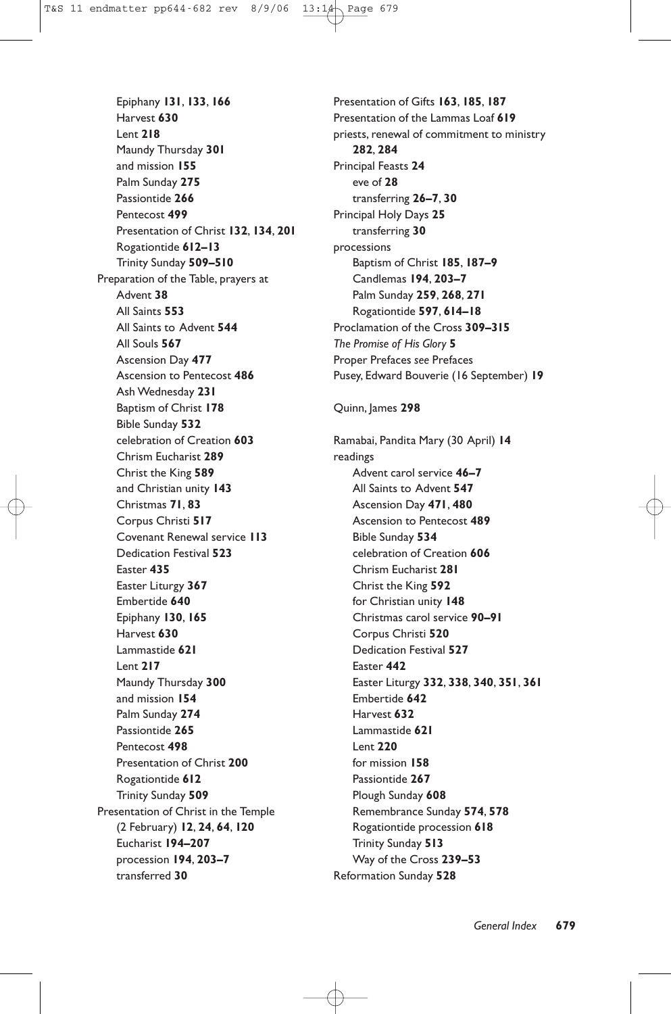Epiphany **131**, **133**, **166** Harvest **630** Lent **218** Maundy Thursday **301** and mission **155** Palm Sunday **275** Passiontide **266** Pentecost **499** Presentation of Christ **132**, **134**, **201** Rogationtide **612–13** Trinity Sunday **509–510** Preparation of the Table, prayers at Advent **38** All Saints **553** All Saints to Advent **544** All Souls **567** Ascension Day **477** Ascension to Pentecost **486** Ash Wednesday **231** Baptism of Christ **178** Bible Sunday **532** celebration of Creation **603** Chrism Eucharist **289** Christ the King **589** and Christian unity **143** Christmas **71**, **83** Corpus Christi **517** Covenant Renewal service **113** Dedication Festival **523** Easter **435** Easter Liturgy **367** Embertide **640** Epiphany **130**, **165** Harvest **630** Lammastide **621** Lent **217** Maundy Thursday **300** and mission **154** Palm Sunday **274** Passiontide **265** Pentecost **498** Presentation of Christ **200** Rogationtide **612** Trinity Sunday **509** Presentation of Christ in the Temple (2 February) **12**, **24**, **64**, **120** Eucharist **194–207** procession **194**, **203–7** transferred **30**

Presentation of Gifts **163**, **185**, **187** Presentation of the Lammas Loaf **619** priests, renewal of commitment to ministry **282**, **284** Principal Feasts **24** eve of **28** transferring **26–7**, **30** Principal Holy Days **25** transferring **30** processions Baptism of Christ **185**, **187–9** Candlemas **194**, **203–7** Palm Sunday **259**, **268**, **271** Rogationtide **597**, **614–18** Proclamation of the Cross **309–315** *The Promise of His Glory* **5** Proper Prefaces *see* Prefaces Pusey, Edward Bouverie (16 September) **19**

#### Quinn, James **298**

Ramabai, Pandita Mary (30 April) **14** readings Advent carol service **46–7** All Saints to Advent **547** Ascension Day **471**, **480** Ascension to Pentecost **489** Bible Sunday **534** celebration of Creation **606** Chrism Eucharist **281** Christ the King **592** for Christian unity **148** Christmas carol service **90–91** Corpus Christi **520** Dedication Festival **527** Easter **442** Easter Liturgy **332**, **338**, **340**, **351**, **361** Embertide **642** Harvest **632** Lammastide **621** Lent **220** for mission **158** Passiontide **267** Plough Sunday **608** Remembrance Sunday **574**, **578** Rogationtide procession **618** Trinity Sunday **513** Way of the Cross **239–53** Reformation Sunday **528**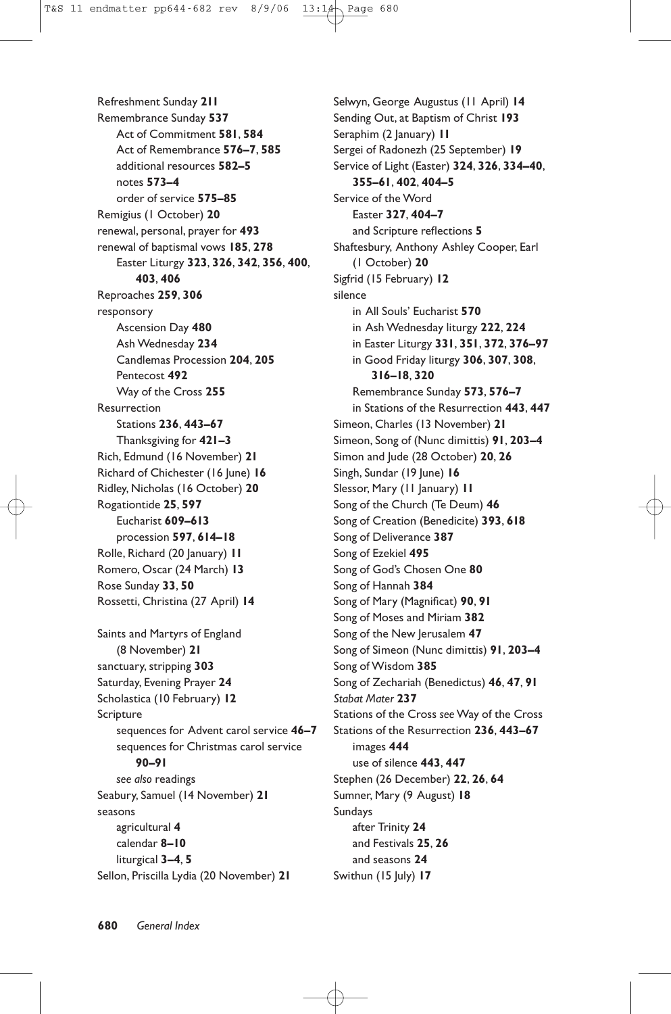Refreshment Sunday **211** Remembrance Sunday **537** Act of Commitment **581**, **584** Act of Remembrance **576–7**, **585** additional resources **582–5** notes **573–4** order of service **575–85** Remigius (1 October) **20** renewal, personal, prayer for **493** renewal of baptismal vows **185**, **278** Easter Liturgy **323**, **326**, **342**, **356**, **400**, **403**, **406** Reproaches **259**, **306** responsory Ascension Day **480** Ash Wednesday **234** Candlemas Procession **204**, **205** Pentecost **492** Way of the Cross **255** Resurrection Stations **236**, **443–67** Thanksgiving for **421–3** Rich, Edmund (16 November) **21** Richard of Chichester (16 June) **16** Ridley, Nicholas (16 October) **20** Rogationtide **25**, **597** Eucharist **609–613** procession **597**, **614–18** Rolle, Richard (20 January) **11** Romero, Oscar (24 March) **13** Rose Sunday **33**, **50** Rossetti, Christina (27 April) **14** Saints and Martyrs of England (8 November) **21** sanctuary, stripping **303** Saturday, Evening Prayer **24** Scholastica (10 February) **12** Scripture sequences for Advent carol service **46–7** sequences for Christmas carol service **90–91** *see also* readings Seabury, Samuel (14 November) **21** seasons agricultural **4** calendar **8–10** liturgical **3–4**, **5** Sellon, Priscilla Lydia (20 November) **21**

Selwyn, George Augustus (11 April) **14** Sending Out, at Baptism of Christ **193** Seraphim (2 January) **11** Sergei of Radonezh (25 September) **19** Service of Light (Easter) **324**, **326**, **334–40**, **355–61**, **402**, **404–5** Service of the Word Easter **327**, **404–7** and Scripture reflections **5** Shaftesbury, Anthony Ashley Cooper, Earl (1 October) **20** Sigfrid (15 February) **12** silence in All Souls' Eucharist **570** in Ash Wednesday liturgy **222**, **224** in Easter Liturgy **331**, **351**, **372**, **376–97** in Good Friday liturgy **306**, **307**, **308**, **316–18**, **320** Remembrance Sunday **573**, **576–7** in Stations of the Resurrection **443**, **447** Simeon, Charles (13 November) **21** Simeon, Song of (Nunc dimittis) **91**, **203–4** Simon and Jude (28 October) **20**, **26** Singh, Sundar (19 June) 16 Slessor, Mary (11 January) **11** Song of the Church (Te Deum) **46** Song of Creation (Benedicite) **393**, **618** Song of Deliverance **387** Song of Ezekiel **495** Song of God's Chosen One **80** Song of Hannah **384** Song of Mary (Magnificat) **90**, **91** Song of Moses and Miriam **382** Song of the New Jerusalem **47** Song of Simeon (Nunc dimittis) **91**, **203–4** Song of Wisdom **385** Song of Zechariah (Benedictus) **46**, **47**, **91** *Stabat Mater* **237** Stations of the Cross *see* Way of the Cross Stations of the Resurrection **236**, **443–67** images **444** use of silence **443**, **447** Stephen (26 December) **22**, **26**, **64** Sumner, Mary (9 August) **18** Sundays after Trinity **24** and Festivals **25**, **26** and seasons **24** Swithun (15 July) **17**